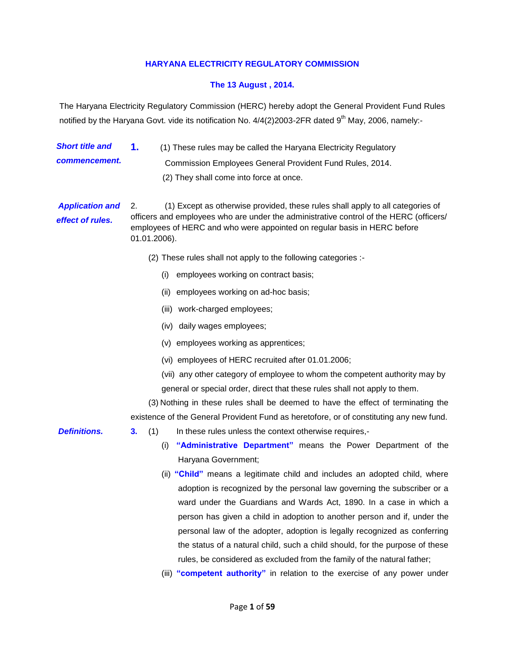### **HARYANA ELECTRICITY REGULATORY COMMISSION**

#### **The 13 August , 2014.**

The Haryana Electricity Regulatory Commission (HERC) hereby adopt the General Provident Fund Rules notified by the Haryana Govt. vide its notification No.  $4/4(2)2003$ -2FR dated 9<sup>th</sup> May, 2006, namely:-

*Short title and commencement.* **1.** (1) These rules may be called the Haryana Electricity Regulatory Commission Employees General Provident Fund Rules, 2014. (2) They shall come into force at once.

*Application and effect of rules.*  2. (1) Except as otherwise provided, these rules shall apply to all categories of officers and employees who are under the administrative control of the HERC (officers/ employees of HERC and who were appointed on regular basis in HERC before 01.01.2006).

- (2) These rules shall not apply to the following categories :-
	- (i) employees working on contract basis;
	- (ii) employees working on ad-hoc basis;
	- (iii) work-charged employees;
	- (iv) daily wages employees;
	- (v) employees working as apprentices;
	- (vi) employees of HERC recruited after 01.01.2006;
	- (vii) any other category of employee to whom the competent authority may by general or special order, direct that these rules shall not apply to them.

(3) Nothing in these rules shall be deemed to have the effect of terminating the existence of the General Provident Fund as heretofore, or of constituting any new fund.

- **Definitions. 3.** (1) In these rules unless the context otherwise requires,-
	- (i) **"Administrative Department"** means the Power Department of the Haryana Government;
	- (ii) **"Child"** means a legitimate child and includes an adopted child, where adoption is recognized by the personal law governing the subscriber or a ward under the Guardians and Wards Act, 1890. In a case in which a person has given a child in adoption to another person and if, under the personal law of the adopter, adoption is legally recognized as conferring the status of a natural child, such a child should, for the purpose of these rules, be considered as excluded from the family of the natural father;
	- (iii) **"competent authority"** in relation to the exercise of any power under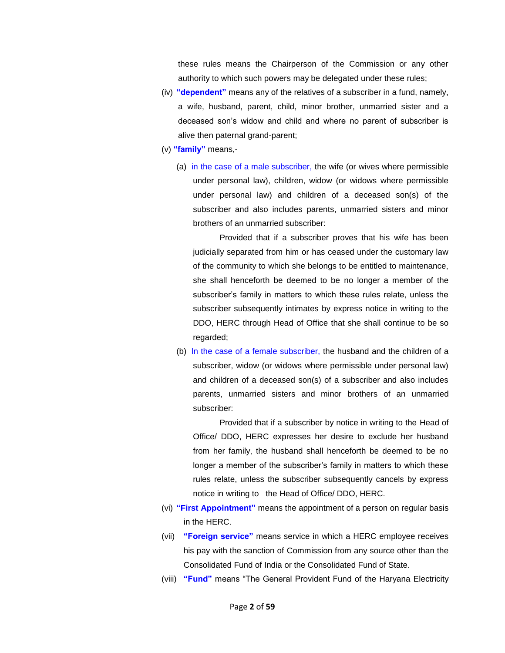these rules means the Chairperson of the Commission or any other authority to which such powers may be delegated under these rules;

- (iv) **"dependent"** means any of the relatives of a subscriber in a fund, namely, a wife, husband, parent, child, minor brother, unmarried sister and a deceased son's widow and child and where no parent of subscriber is alive then paternal grand-parent;
- (v) **"family"** means,-
	- (a) in the case of a male subscriber, the wife (or wives where permissible under personal law), children, widow (or widows where permissible under personal law) and children of a deceased son(s) of the subscriber and also includes parents, unmarried sisters and minor brothers of an unmarried subscriber:

Provided that if a subscriber proves that his wife has been judicially separated from him or has ceased under the customary law of the community to which she belongs to be entitled to maintenance, she shall henceforth be deemed to be no longer a member of the subscriber's family in matters to which these rules relate, unless the subscriber subsequently intimates by express notice in writing to the DDO, HERC through Head of Office that she shall continue to be so regarded;

(b) In the case of a female subscriber, the husband and the children of a subscriber, widow (or widows where permissible under personal law) and children of a deceased son(s) of a subscriber and also includes parents, unmarried sisters and minor brothers of an unmarried subscriber:

Provided that if a subscriber by notice in writing to the Head of Office/ DDO, HERC expresses her desire to exclude her husband from her family, the husband shall henceforth be deemed to be no longer a member of the subscriber's family in matters to which these rules relate, unless the subscriber subsequently cancels by express notice in writing to the Head of Office/ DDO, HERC.

- (vi) **"First Appointment"** means the appointment of a person on regular basis in the HERC.
- (vii) **"Foreign service"** means service in which a HERC employee receives his pay with the sanction of Commission from any source other than the Consolidated Fund of India or the Consolidated Fund of State.
- (viii) **"Fund"** means "The General Provident Fund of the Haryana Electricity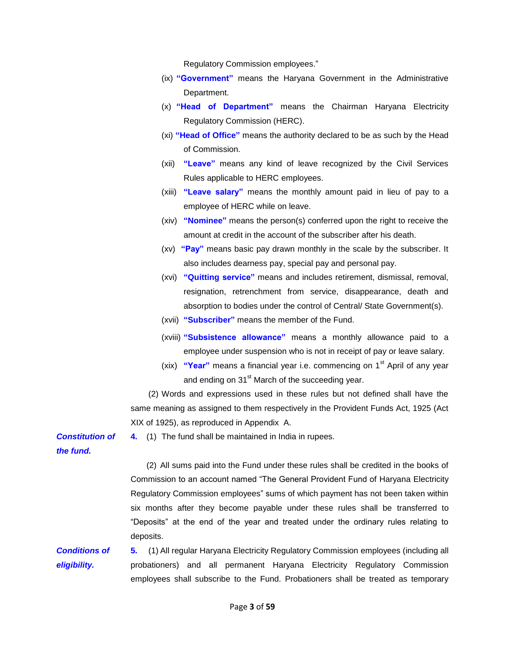Regulatory Commission employees."

- (ix) **"Government"** means the Haryana Government in the Administrative Department.
- (x) **"Head of Department"** means the Chairman Haryana Electricity Regulatory Commission (HERC).
- (xi) **"Head of Office"** means the authority declared to be as such by the Head of Commission.
- (xii) **"Leave"** means any kind of leave recognized by the Civil Services Rules applicable to HERC employees.
- (xiii) **"Leave salary"** means the monthly amount paid in lieu of pay to a employee of HERC while on leave.
- (xiv) **"Nominee"** means the person(s) conferred upon the right to receive the amount at credit in the account of the subscriber after his death.
- (xv) **"Pay"** means basic pay drawn monthly in the scale by the subscriber. It also includes dearness pay, special pay and personal pay.
- (xvi) **"Quitting service"** means and includes retirement, dismissal, removal, resignation, retrenchment from service, disappearance, death and absorption to bodies under the control of Central/ State Government(s).
- (xvii) **"Subscriber"** means the member of the Fund.
- (xviii) **"Subsistence allowance"** means a monthly allowance paid to a employee under suspension who is not in receipt of pay or leave salary.
- (xix) **"Year"** means a financial year i.e. commencing on 1st April of any year and ending on  $31<sup>st</sup>$  March of the succeeding year.

(2) Words and expressions used in these rules but not defined shall have the same meaning as assigned to them respectively in the Provident Funds Act, 1925 (Act XIX of 1925), as reproduced in Appendix A.

**4.** (1) The fund shall be maintained in India in rupees.

*the fund.* 

*Constitution of* 

 (2) All sums paid into the Fund under these rules shall be credited in the books of Commission to an account named "The General Provident Fund of Haryana Electricity Regulatory Commission employees" sums of which payment has not been taken within six months after they become payable under these rules shall be transferred to "Deposits" at the end of the year and treated under the ordinary rules relating to deposits.

*Conditions of eligibility.*  **5.** (1) All regular Haryana Electricity Regulatory Commission employees (including all probationers) and all permanent Haryana Electricity Regulatory Commission employees shall subscribe to the Fund. Probationers shall be treated as temporary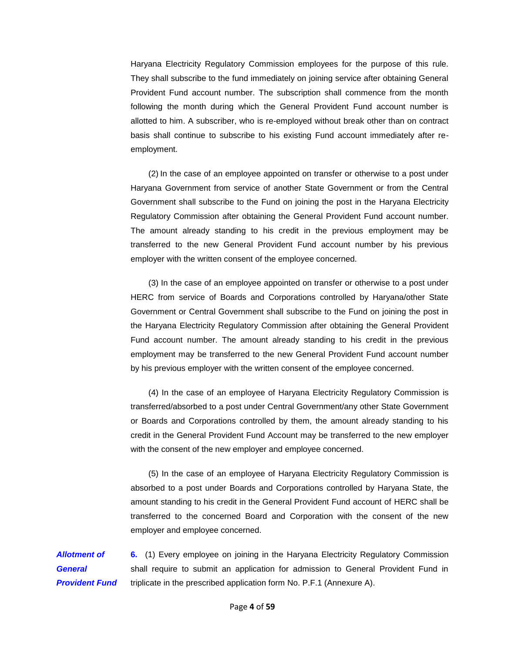Haryana Electricity Regulatory Commission employees for the purpose of this rule. They shall subscribe to the fund immediately on joining service after obtaining General Provident Fund account number. The subscription shall commence from the month following the month during which the General Provident Fund account number is allotted to him. A subscriber, who is re-employed without break other than on contract basis shall continue to subscribe to his existing Fund account immediately after reemployment.

(2) In the case of an employee appointed on transfer or otherwise to a post under Haryana Government from service of another State Government or from the Central Government shall subscribe to the Fund on joining the post in the Haryana Electricity Regulatory Commission after obtaining the General Provident Fund account number. The amount already standing to his credit in the previous employment may be transferred to the new General Provident Fund account number by his previous employer with the written consent of the employee concerned.

(3) In the case of an employee appointed on transfer or otherwise to a post under HERC from service of Boards and Corporations controlled by Haryana/other State Government or Central Government shall subscribe to the Fund on joining the post in the Haryana Electricity Regulatory Commission after obtaining the General Provident Fund account number. The amount already standing to his credit in the previous employment may be transferred to the new General Provident Fund account number by his previous employer with the written consent of the employee concerned.

(4) In the case of an employee of Haryana Electricity Regulatory Commission is transferred/absorbed to a post under Central Government/any other State Government or Boards and Corporations controlled by them, the amount already standing to his credit in the General Provident Fund Account may be transferred to the new employer with the consent of the new employer and employee concerned.

(5) In the case of an employee of Haryana Electricity Regulatory Commission is absorbed to a post under Boards and Corporations controlled by Haryana State, the amount standing to his credit in the General Provident Fund account of HERC shall be transferred to the concerned Board and Corporation with the consent of the new employer and employee concerned.

*Allotment of General Provident Fund*  **6.** (1) Every employee on joining in the Haryana Electricity Regulatory Commission shall require to submit an application for admission to General Provident Fund in triplicate in the prescribed application form No. P.F.1 (Annexure A).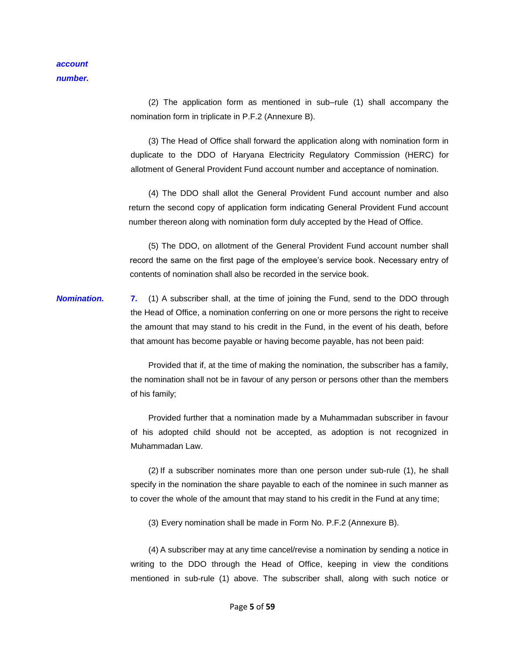(2) The application form as mentioned in sub–rule (1) shall accompany the nomination form in triplicate in P.F.2 (Annexure B).

(3) The Head of Office shall forward the application along with nomination form in duplicate to the DDO of Haryana Electricity Regulatory Commission (HERC) for allotment of General Provident Fund account number and acceptance of nomination.

(4) The DDO shall allot the General Provident Fund account number and also return the second copy of application form indicating General Provident Fund account number thereon along with nomination form duly accepted by the Head of Office.

(5) The DDO, on allotment of the General Provident Fund account number shall record the same on the first page of the employee's service book. Necessary entry of contents of nomination shall also be recorded in the service book.

*Nomination.* **7.** (1) A subscriber shall, at the time of joining the Fund, send to the DDO through the Head of Office, a nomination conferring on one or more persons the right to receive the amount that may stand to his credit in the Fund, in the event of his death, before that amount has become payable or having become payable, has not been paid:

> Provided that if, at the time of making the nomination, the subscriber has a family, the nomination shall not be in favour of any person or persons other than the members of his family;

> Provided further that a nomination made by a Muhammadan subscriber in favour of his adopted child should not be accepted, as adoption is not recognized in Muhammadan Law.

> (2) If a subscriber nominates more than one person under sub-rule (1), he shall specify in the nomination the share payable to each of the nominee in such manner as to cover the whole of the amount that may stand to his credit in the Fund at any time;

(3) Every nomination shall be made in Form No. P.F.2 (Annexure B).

(4) A subscriber may at any time cancel/revise a nomination by sending a notice in writing to the DDO through the Head of Office, keeping in view the conditions mentioned in sub-rule (1) above. The subscriber shall, along with such notice or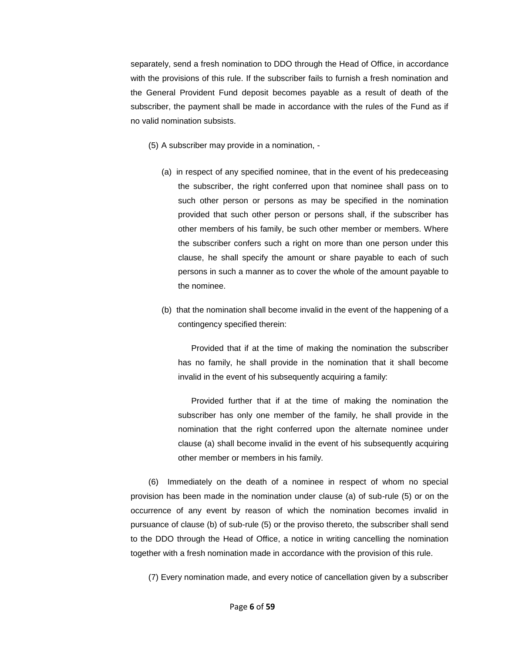separately, send a fresh nomination to DDO through the Head of Office, in accordance with the provisions of this rule. If the subscriber fails to furnish a fresh nomination and the General Provident Fund deposit becomes payable as a result of death of the subscriber, the payment shall be made in accordance with the rules of the Fund as if no valid nomination subsists.

- (5) A subscriber may provide in a nomination,
	- (a) in respect of any specified nominee, that in the event of his predeceasing the subscriber, the right conferred upon that nominee shall pass on to such other person or persons as may be specified in the nomination provided that such other person or persons shall, if the subscriber has other members of his family, be such other member or members. Where the subscriber confers such a right on more than one person under this clause, he shall specify the amount or share payable to each of such persons in such a manner as to cover the whole of the amount payable to the nominee.
	- (b) that the nomination shall become invalid in the event of the happening of a contingency specified therein:

Provided that if at the time of making the nomination the subscriber has no family, he shall provide in the nomination that it shall become invalid in the event of his subsequently acquiring a family:

Provided further that if at the time of making the nomination the subscriber has only one member of the family, he shall provide in the nomination that the right conferred upon the alternate nominee under clause (a) shall become invalid in the event of his subsequently acquiring other member or members in his family.

(6) Immediately on the death of a nominee in respect of whom no special provision has been made in the nomination under clause (a) of sub-rule (5) or on the occurrence of any event by reason of which the nomination becomes invalid in pursuance of clause (b) of sub-rule (5) or the proviso thereto, the subscriber shall send to the DDO through the Head of Office, a notice in writing cancelling the nomination together with a fresh nomination made in accordance with the provision of this rule.

(7) Every nomination made, and every notice of cancellation given by a subscriber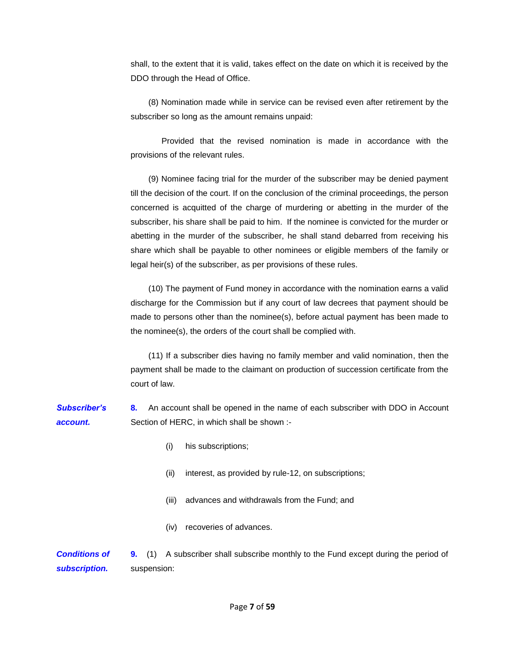shall, to the extent that it is valid, takes effect on the date on which it is received by the DDO through the Head of Office.

(8) Nomination made while in service can be revised even after retirement by the subscriber so long as the amount remains unpaid:

Provided that the revised nomination is made in accordance with the provisions of the relevant rules.

(9) Nominee facing trial for the murder of the subscriber may be denied payment till the decision of the court. If on the conclusion of the criminal proceedings, the person concerned is acquitted of the charge of murdering or abetting in the murder of the subscriber, his share shall be paid to him. If the nominee is convicted for the murder or abetting in the murder of the subscriber, he shall stand debarred from receiving his share which shall be payable to other nominees or eligible members of the family or legal heir(s) of the subscriber, as per provisions of these rules.

(10) The payment of Fund money in accordance with the nomination earns a valid discharge for the Commission but if any court of law decrees that payment should be made to persons other than the nominee(s), before actual payment has been made to the nominee(s), the orders of the court shall be complied with.

(11) If a subscriber dies having no family member and valid nomination, then the payment shall be made to the claimant on production of succession certificate from the court of law.

*Subscriber's account.*  **8.** An account shall be opened in the name of each subscriber with DDO in Account Section of HERC, in which shall be shown :-

- (i) his subscriptions;
- (ii) interest, as provided by rule-12, on subscriptions;
- (iii) advances and withdrawals from the Fund; and
- (iv) recoveries of advances.

*Conditions of subscription.*  **9.** (1) A subscriber shall subscribe monthly to the Fund except during the period of suspension: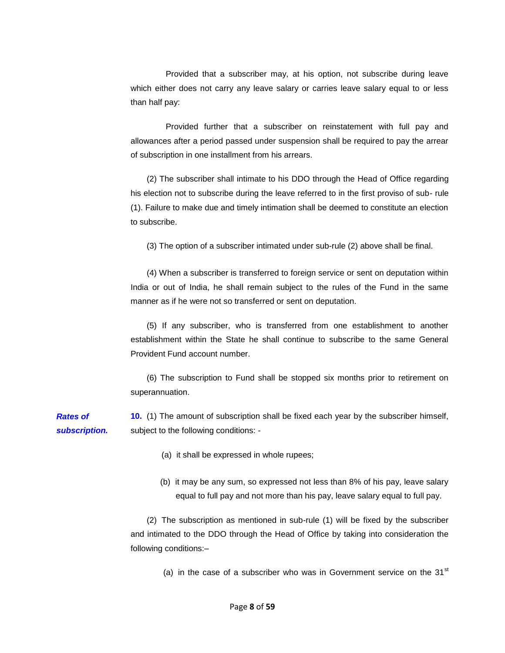Provided that a subscriber may, at his option, not subscribe during leave which either does not carry any leave salary or carries leave salary equal to or less than half pay:

Provided further that a subscriber on reinstatement with full pay and allowances after a period passed under suspension shall be required to pay the arrear of subscription in one installment from his arrears.

(2) The subscriber shall intimate to his DDO through the Head of Office regarding his election not to subscribe during the leave referred to in the first proviso of sub- rule (1). Failure to make due and timely intimation shall be deemed to constitute an election to subscribe.

(3) The option of a subscriber intimated under sub-rule (2) above shall be final.

(4) When a subscriber is transferred to foreign service or sent on deputation within India or out of India, he shall remain subject to the rules of the Fund in the same manner as if he were not so transferred or sent on deputation.

(5) If any subscriber, who is transferred from one establishment to another establishment within the State he shall continue to subscribe to the same General Provident Fund account number.

(6) The subscription to Fund shall be stopped six months prior to retirement on superannuation.

*Rates of subscription.*  **10.** (1) The amount of subscription shall be fixed each year by the subscriber himself, subject to the following conditions: -

(a) it shall be expressed in whole rupees;

(b) it may be any sum, so expressed not less than 8% of his pay, leave salary equal to full pay and not more than his pay, leave salary equal to full pay.

(2) The subscription as mentioned in sub-rule (1) will be fixed by the subscriber and intimated to the DDO through the Head of Office by taking into consideration the following conditions:–

(a) in the case of a subscriber who was in Government service on the  $31<sup>st</sup>$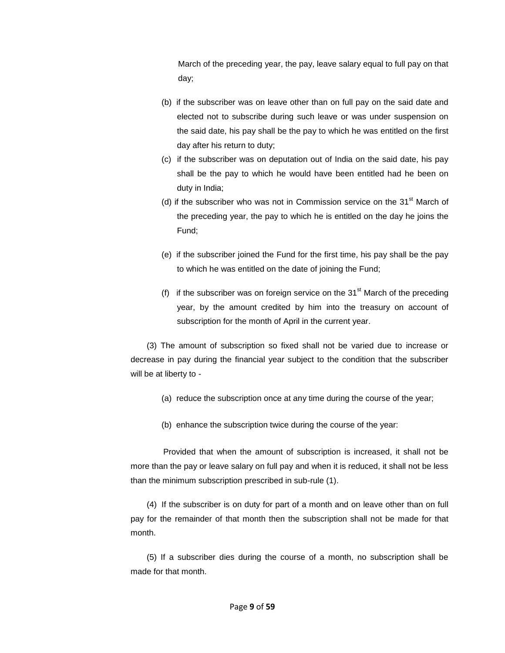March of the preceding year, the pay, leave salary equal to full pay on that day;

- (b) if the subscriber was on leave other than on full pay on the said date and elected not to subscribe during such leave or was under suspension on the said date, his pay shall be the pay to which he was entitled on the first day after his return to duty;
- (c) if the subscriber was on deputation out of India on the said date, his pay shall be the pay to which he would have been entitled had he been on duty in India;
- (d) if the subscriber who was not in Commission service on the  $31<sup>st</sup>$  March of the preceding year, the pay to which he is entitled on the day he joins the Fund;
- (e) if the subscriber joined the Fund for the first time, his pay shall be the pay to which he was entitled on the date of joining the Fund;
- (f) if the subscriber was on foreign service on the  $31<sup>st</sup>$  March of the preceding year, by the amount credited by him into the treasury on account of subscription for the month of April in the current year.

(3) The amount of subscription so fixed shall not be varied due to increase or decrease in pay during the financial year subject to the condition that the subscriber will be at liberty to -

- (a) reduce the subscription once at any time during the course of the year;
- (b) enhance the subscription twice during the course of the year:

Provided that when the amount of subscription is increased, it shall not be more than the pay or leave salary on full pay and when it is reduced, it shall not be less than the minimum subscription prescribed in sub-rule (1).

(4) If the subscriber is on duty for part of a month and on leave other than on full pay for the remainder of that month then the subscription shall not be made for that month.

(5) If a subscriber dies during the course of a month, no subscription shall be made for that month.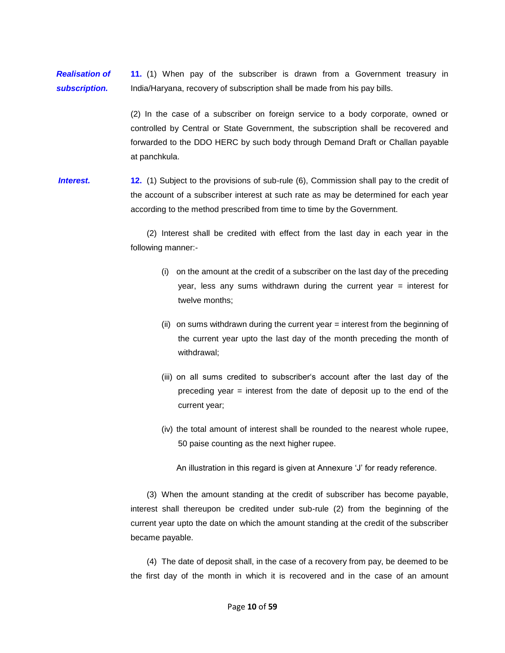*Realisation of subscription.*  **11.** (1) When pay of the subscriber is drawn from a Government treasury in India/Haryana, recovery of subscription shall be made from his pay bills.

> (2) In the case of a subscriber on foreign service to a body corporate, owned or controlled by Central or State Government, the subscription shall be recovered and forwarded to the DDO HERC by such body through Demand Draft or Challan payable at panchkula.

**Interest. 12.** (1) Subject to the provisions of sub-rule (6), Commission shall pay to the credit of the account of a subscriber interest at such rate as may be determined for each year according to the method prescribed from time to time by the Government.

> (2) Interest shall be credited with effect from the last day in each year in the following manner:-

- (i) on the amount at the credit of a subscriber on the last day of the preceding year, less any sums withdrawn during the current year = interest for twelve months;
- (ii) on sums withdrawn during the current year = interest from the beginning of the current year upto the last day of the month preceding the month of withdrawal;
- (iii) on all sums credited to subscriber's account after the last day of the preceding year = interest from the date of deposit up to the end of the current year;
- (iv) the total amount of interest shall be rounded to the nearest whole rupee, 50 paise counting as the next higher rupee.

An illustration in this regard is given at Annexure 'J' for ready reference.

(3) When the amount standing at the credit of subscriber has become payable, interest shall thereupon be credited under sub-rule (2) from the beginning of the current year upto the date on which the amount standing at the credit of the subscriber became payable.

(4) The date of deposit shall, in the case of a recovery from pay, be deemed to be the first day of the month in which it is recovered and in the case of an amount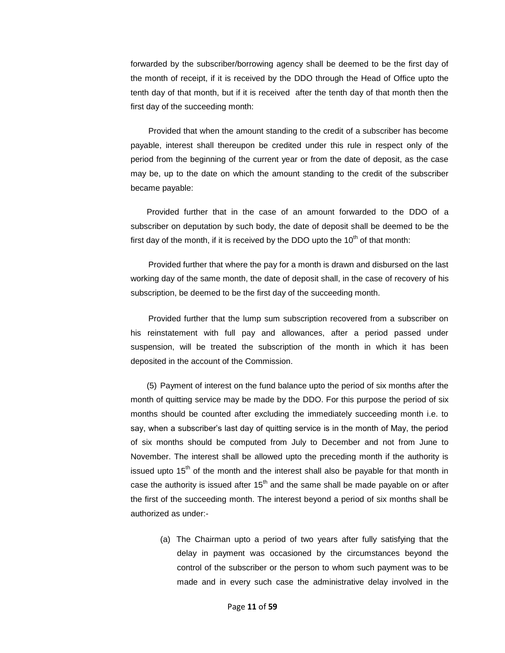forwarded by the subscriber/borrowing agency shall be deemed to be the first day of the month of receipt, if it is received by the DDO through the Head of Office upto the tenth day of that month, but if it is received after the tenth day of that month then the first day of the succeeding month:

Provided that when the amount standing to the credit of a subscriber has become payable, interest shall thereupon be credited under this rule in respect only of the period from the beginning of the current year or from the date of deposit, as the case may be, up to the date on which the amount standing to the credit of the subscriber became payable:

Provided further that in the case of an amount forwarded to the DDO of a subscriber on deputation by such body, the date of deposit shall be deemed to be the first day of the month, if it is received by the DDO upto the  $10<sup>th</sup>$  of that month:

Provided further that where the pay for a month is drawn and disbursed on the last working day of the same month, the date of deposit shall, in the case of recovery of his subscription, be deemed to be the first day of the succeeding month.

Provided further that the lump sum subscription recovered from a subscriber on his reinstatement with full pay and allowances, after a period passed under suspension, will be treated the subscription of the month in which it has been deposited in the account of the Commission.

(5) Payment of interest on the fund balance upto the period of six months after the month of quitting service may be made by the DDO. For this purpose the period of six months should be counted after excluding the immediately succeeding month i.e. to say, when a subscriber's last day of quitting service is in the month of May, the period of six months should be computed from July to December and not from June to November. The interest shall be allowed upto the preceding month if the authority is issued upto  $15<sup>th</sup>$  of the month and the interest shall also be payable for that month in case the authority is issued after  $15<sup>th</sup>$  and the same shall be made payable on or after the first of the succeeding month. The interest beyond a period of six months shall be authorized as under:-

(a) The Chairman upto a period of two years after fully satisfying that the delay in payment was occasioned by the circumstances beyond the control of the subscriber or the person to whom such payment was to be made and in every such case the administrative delay involved in the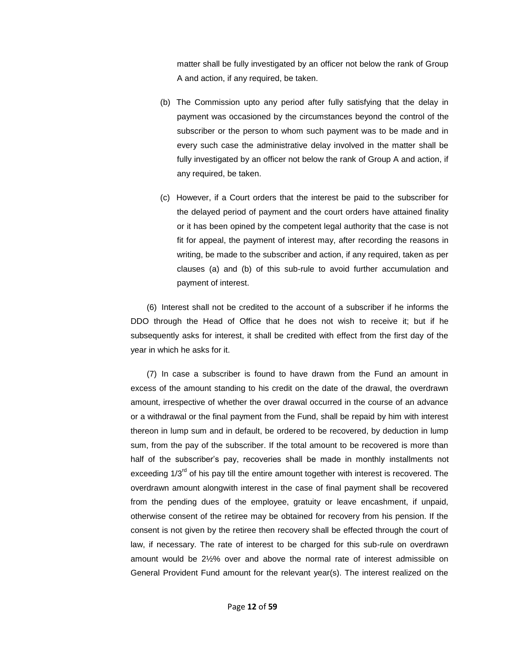matter shall be fully investigated by an officer not below the rank of Group A and action, if any required, be taken.

- (b) The Commission upto any period after fully satisfying that the delay in payment was occasioned by the circumstances beyond the control of the subscriber or the person to whom such payment was to be made and in every such case the administrative delay involved in the matter shall be fully investigated by an officer not below the rank of Group A and action, if any required, be taken.
- (c) However, if a Court orders that the interest be paid to the subscriber for the delayed period of payment and the court orders have attained finality or it has been opined by the competent legal authority that the case is not fit for appeal, the payment of interest may, after recording the reasons in writing, be made to the subscriber and action, if any required, taken as per clauses (a) and (b) of this sub-rule to avoid further accumulation and payment of interest.

(6) Interest shall not be credited to the account of a subscriber if he informs the DDO through the Head of Office that he does not wish to receive it; but if he subsequently asks for interest, it shall be credited with effect from the first day of the year in which he asks for it.

(7) In case a subscriber is found to have drawn from the Fund an amount in excess of the amount standing to his credit on the date of the drawal, the overdrawn amount, irrespective of whether the over drawal occurred in the course of an advance or a withdrawal or the final payment from the Fund, shall be repaid by him with interest thereon in lump sum and in default, be ordered to be recovered, by deduction in lump sum, from the pay of the subscriber. If the total amount to be recovered is more than half of the subscriber's pay, recoveries shall be made in monthly installments not exceeding  $1/3<sup>rd</sup>$  of his pay till the entire amount together with interest is recovered. The overdrawn amount alongwith interest in the case of final payment shall be recovered from the pending dues of the employee, gratuity or leave encashment, if unpaid, otherwise consent of the retiree may be obtained for recovery from his pension. If the consent is not given by the retiree then recovery shall be effected through the court of law, if necessary. The rate of interest to be charged for this sub-rule on overdrawn amount would be 2½% over and above the normal rate of interest admissible on General Provident Fund amount for the relevant year(s). The interest realized on the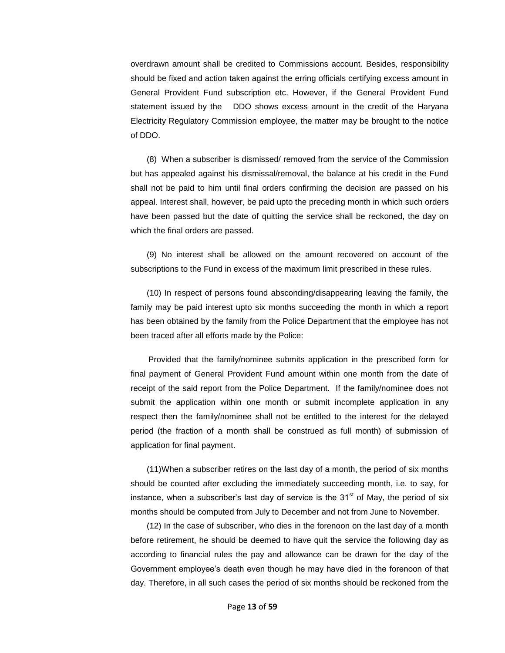overdrawn amount shall be credited to Commissions account. Besides, responsibility should be fixed and action taken against the erring officials certifying excess amount in General Provident Fund subscription etc. However, if the General Provident Fund statement issued by the DDO shows excess amount in the credit of the Haryana Electricity Regulatory Commission employee, the matter may be brought to the notice of DDO.

(8) When a subscriber is dismissed/ removed from the service of the Commission but has appealed against his dismissal/removal, the balance at his credit in the Fund shall not be paid to him until final orders confirming the decision are passed on his appeal. Interest shall, however, be paid upto the preceding month in which such orders have been passed but the date of quitting the service shall be reckoned, the day on which the final orders are passed.

(9) No interest shall be allowed on the amount recovered on account of the subscriptions to the Fund in excess of the maximum limit prescribed in these rules.

(10) In respect of persons found absconding/disappearing leaving the family, the family may be paid interest upto six months succeeding the month in which a report has been obtained by the family from the Police Department that the employee has not been traced after all efforts made by the Police:

Provided that the family/nominee submits application in the prescribed form for final payment of General Provident Fund amount within one month from the date of receipt of the said report from the Police Department. If the family/nominee does not submit the application within one month or submit incomplete application in any respect then the family/nominee shall not be entitled to the interest for the delayed period (the fraction of a month shall be construed as full month) of submission of application for final payment.

(11)When a subscriber retires on the last day of a month, the period of six months should be counted after excluding the immediately succeeding month, i.e. to say, for instance, when a subscriber's last day of service is the  $31<sup>st</sup>$  of May, the period of six months should be computed from July to December and not from June to November.

(12) In the case of subscriber, who dies in the forenoon on the last day of a month before retirement, he should be deemed to have quit the service the following day as according to financial rules the pay and allowance can be drawn for the day of the Government employee's death even though he may have died in the forenoon of that day. Therefore, in all such cases the period of six months should be reckoned from the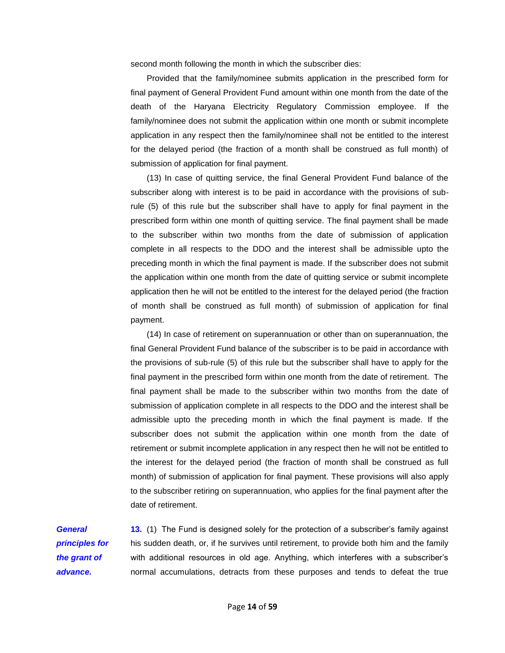second month following the month in which the subscriber dies:

Provided that the family/nominee submits application in the prescribed form for final payment of General Provident Fund amount within one month from the date of the death of the Haryana Electricity Regulatory Commission employee. If the family/nominee does not submit the application within one month or submit incomplete application in any respect then the family/nominee shall not be entitled to the interest for the delayed period (the fraction of a month shall be construed as full month) of submission of application for final payment.

(13) In case of quitting service, the final General Provident Fund balance of the subscriber along with interest is to be paid in accordance with the provisions of subrule (5) of this rule but the subscriber shall have to apply for final payment in the prescribed form within one month of quitting service. The final payment shall be made to the subscriber within two months from the date of submission of application complete in all respects to the DDO and the interest shall be admissible upto the preceding month in which the final payment is made. If the subscriber does not submit the application within one month from the date of quitting service or submit incomplete application then he will not be entitled to the interest for the delayed period (the fraction of month shall be construed as full month) of submission of application for final payment.

(14) In case of retirement on superannuation or other than on superannuation, the final General Provident Fund balance of the subscriber is to be paid in accordance with the provisions of sub-rule (5) of this rule but the subscriber shall have to apply for the final payment in the prescribed form within one month from the date of retirement. The final payment shall be made to the subscriber within two months from the date of submission of application complete in all respects to the DDO and the interest shall be admissible upto the preceding month in which the final payment is made. If the subscriber does not submit the application within one month from the date of retirement or submit incomplete application in any respect then he will not be entitled to the interest for the delayed period (the fraction of month shall be construed as full month) of submission of application for final payment. These provisions will also apply to the subscriber retiring on superannuation, who applies for the final payment after the date of retirement.

*General principles for the grant of advance.* 

**13.** (1) The Fund is designed solely for the protection of a subscriber's family against his sudden death, or, if he survives until retirement, to provide both him and the family with additional resources in old age. Anything, which interferes with a subscriber's normal accumulations, detracts from these purposes and tends to defeat the true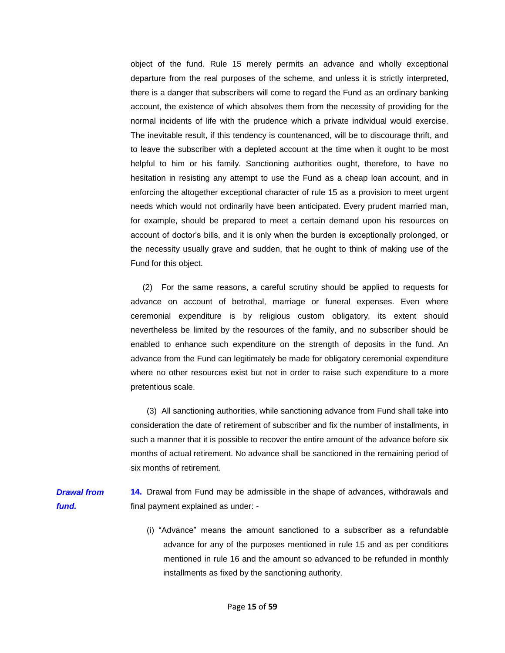object of the fund. Rule 15 merely permits an advance and wholly exceptional departure from the real purposes of the scheme, and unless it is strictly interpreted, there is a danger that subscribers will come to regard the Fund as an ordinary banking account, the existence of which absolves them from the necessity of providing for the normal incidents of life with the prudence which a private individual would exercise. The inevitable result, if this tendency is countenanced, will be to discourage thrift, and to leave the subscriber with a depleted account at the time when it ought to be most helpful to him or his family. Sanctioning authorities ought, therefore, to have no hesitation in resisting any attempt to use the Fund as a cheap loan account, and in enforcing the altogether exceptional character of rule 15 as a provision to meet urgent needs which would not ordinarily have been anticipated. Every prudent married man, for example, should be prepared to meet a certain demand upon his resources on account of doctor's bills, and it is only when the burden is exceptionally prolonged, or the necessity usually grave and sudden, that he ought to think of making use of the Fund for this object.

(2) For the same reasons, a careful scrutiny should be applied to requests for advance on account of betrothal, marriage or funeral expenses. Even where ceremonial expenditure is by religious custom obligatory, its extent should nevertheless be limited by the resources of the family, and no subscriber should be enabled to enhance such expenditure on the strength of deposits in the fund. An advance from the Fund can legitimately be made for obligatory ceremonial expenditure where no other resources exist but not in order to raise such expenditure to a more pretentious scale.

(3) All sanctioning authorities, while sanctioning advance from Fund shall take into consideration the date of retirement of subscriber and fix the number of installments, in such a manner that it is possible to recover the entire amount of the advance before six months of actual retirement. No advance shall be sanctioned in the remaining period of six months of retirement.

*Drawal from fund.*  **14.** Drawal from Fund may be admissible in the shape of advances, withdrawals and final payment explained as under: -

> (i) "Advance" means the amount sanctioned to a subscriber as a refundable advance for any of the purposes mentioned in rule 15 and as per conditions mentioned in rule 16 and the amount so advanced to be refunded in monthly installments as fixed by the sanctioning authority.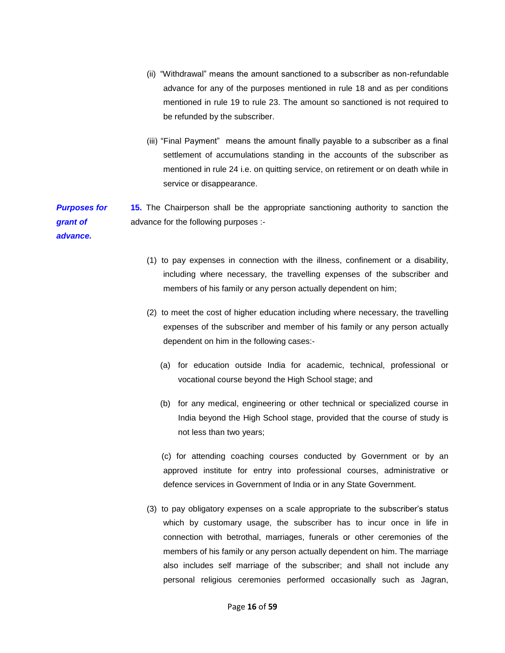- (ii) "Withdrawal" means the amount sanctioned to a subscriber as non-refundable advance for any of the purposes mentioned in rule 18 and as per conditions mentioned in rule 19 to rule 23. The amount so sanctioned is not required to be refunded by the subscriber.
- (iii) "Final Payment" means the amount finally payable to a subscriber as a final settlement of accumulations standing in the accounts of the subscriber as mentioned in rule 24 i.e. on quitting service, on retirement or on death while in service or disappearance.

*Purposes for grant of advance.*  **15.** The Chairperson shall be the appropriate sanctioning authority to sanction the advance for the following purposes :-

- (1) to pay expenses in connection with the illness, confinement or a disability, including where necessary, the travelling expenses of the subscriber and members of his family or any person actually dependent on him;
- (2) to meet the cost of higher education including where necessary, the travelling expenses of the subscriber and member of his family or any person actually dependent on him in the following cases:-
	- (a) for education outside India for academic, technical, professional or vocational course beyond the High School stage; and
	- (b) for any medical, engineering or other technical or specialized course in India beyond the High School stage, provided that the course of study is not less than two years;

(c) for attending coaching courses conducted by Government or by an approved institute for entry into professional courses, administrative or defence services in Government of India or in any State Government.

(3) to pay obligatory expenses on a scale appropriate to the subscriber's status which by customary usage, the subscriber has to incur once in life in connection with betrothal, marriages, funerals or other ceremonies of the members of his family or any person actually dependent on him. The marriage also includes self marriage of the subscriber; and shall not include any personal religious ceremonies performed occasionally such as Jagran,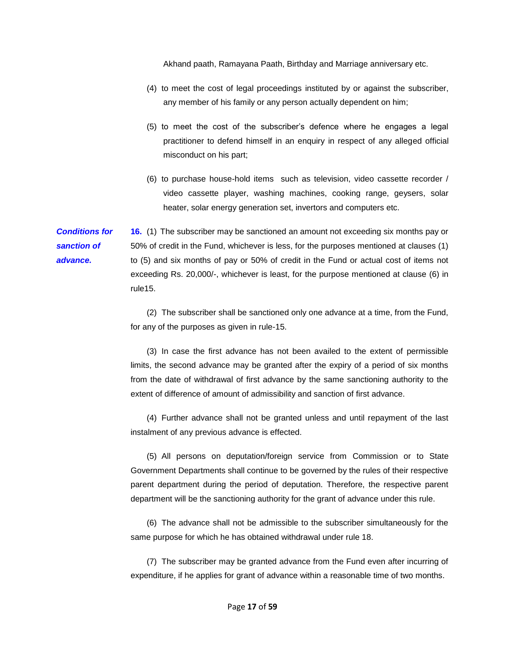Akhand paath, Ramayana Paath, Birthday and Marriage anniversary etc.

- (4) to meet the cost of legal proceedings instituted by or against the subscriber, any member of his family or any person actually dependent on him;
- (5) to meet the cost of the subscriber's defence where he engages a legal practitioner to defend himself in an enquiry in respect of any alleged official misconduct on his part;
- (6) to purchase house-hold items such as television, video cassette recorder / video cassette player, washing machines, cooking range, geysers, solar heater, solar energy generation set, invertors and computers etc.

*Conditions for sanction of advance.*  **16.** (1) The subscriber may be sanctioned an amount not exceeding six months pay or 50% of credit in the Fund, whichever is less, for the purposes mentioned at clauses (1) to (5) and six months of pay or 50% of credit in the Fund or actual cost of items not exceeding Rs. 20,000/-, whichever is least, for the purpose mentioned at clause (6) in rule15.

> (2) The subscriber shall be sanctioned only one advance at a time, from the Fund, for any of the purposes as given in rule-15.

> (3) In case the first advance has not been availed to the extent of permissible limits, the second advance may be granted after the expiry of a period of six months from the date of withdrawal of first advance by the same sanctioning authority to the extent of difference of amount of admissibility and sanction of first advance.

> (4) Further advance shall not be granted unless and until repayment of the last instalment of any previous advance is effected.

> (5) All persons on deputation/foreign service from Commission or to State Government Departments shall continue to be governed by the rules of their respective parent department during the period of deputation. Therefore, the respective parent department will be the sanctioning authority for the grant of advance under this rule.

> (6) The advance shall not be admissible to the subscriber simultaneously for the same purpose for which he has obtained withdrawal under rule 18.

> (7) The subscriber may be granted advance from the Fund even after incurring of expenditure, if he applies for grant of advance within a reasonable time of two months.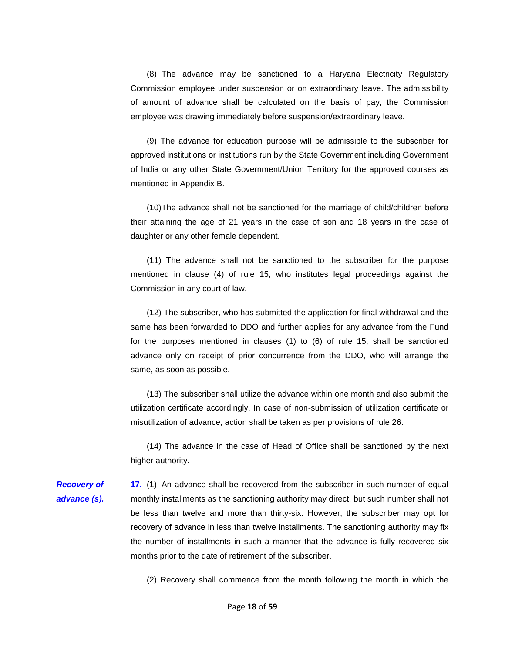(8) The advance may be sanctioned to a Haryana Electricity Regulatory Commission employee under suspension or on extraordinary leave. The admissibility of amount of advance shall be calculated on the basis of pay, the Commission employee was drawing immediately before suspension/extraordinary leave.

(9) The advance for education purpose will be admissible to the subscriber for approved institutions or institutions run by the State Government including Government of India or any other State Government/Union Territory for the approved courses as mentioned in Appendix B.

(10)The advance shall not be sanctioned for the marriage of child/children before their attaining the age of 21 years in the case of son and 18 years in the case of daughter or any other female dependent.

(11) The advance shall not be sanctioned to the subscriber for the purpose mentioned in clause (4) of rule 15, who institutes legal proceedings against the Commission in any court of law.

(12) The subscriber, who has submitted the application for final withdrawal and the same has been forwarded to DDO and further applies for any advance from the Fund for the purposes mentioned in clauses (1) to (6) of rule 15, shall be sanctioned advance only on receipt of prior concurrence from the DDO, who will arrange the same, as soon as possible.

(13) The subscriber shall utilize the advance within one month and also submit the utilization certificate accordingly. In case of non-submission of utilization certificate or misutilization of advance, action shall be taken as per provisions of rule 26.

(14) The advance in the case of Head of Office shall be sanctioned by the next higher authority.

*Recovery of advance (s).*  **17.** (1) An advance shall be recovered from the subscriber in such number of equal monthly installments as the sanctioning authority may direct, but such number shall not be less than twelve and more than thirty-six. However, the subscriber may opt for recovery of advance in less than twelve installments. The sanctioning authority may fix the number of installments in such a manner that the advance is fully recovered six months prior to the date of retirement of the subscriber.

(2) Recovery shall commence from the month following the month in which the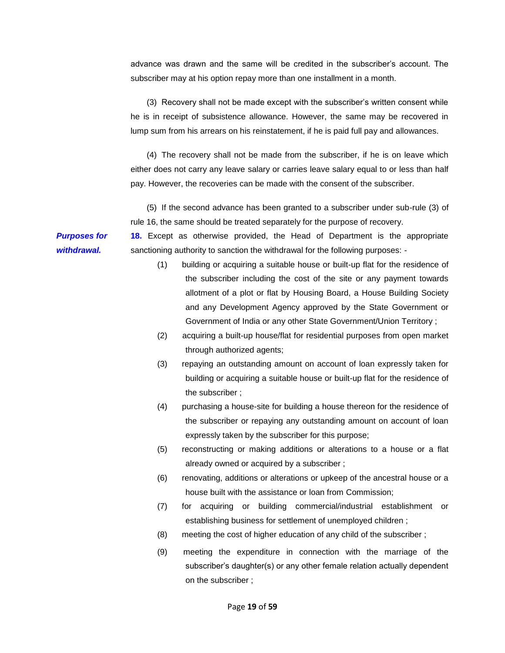advance was drawn and the same will be credited in the subscriber's account. The subscriber may at his option repay more than one installment in a month.

(3) Recovery shall not be made except with the subscriber's written consent while he is in receipt of subsistence allowance. However, the same may be recovered in lump sum from his arrears on his reinstatement, if he is paid full pay and allowances.

(4) The recovery shall not be made from the subscriber, if he is on leave which either does not carry any leave salary or carries leave salary equal to or less than half pay. However, the recoveries can be made with the consent of the subscriber.

(5) If the second advance has been granted to a subscriber under sub-rule (3) of rule 16, the same should be treated separately for the purpose of recovery.

**18.** Except as otherwise provided, the Head of Department is the appropriate sanctioning authority to sanction the withdrawal for the following purposes: -

- (1) building or acquiring a suitable house or built-up flat for the residence of the subscriber including the cost of the site or any payment towards allotment of a plot or flat by Housing Board, a House Building Society and any Development Agency approved by the State Government or Government of India or any other State Government/Union Territory ;
- (2) acquiring a built-up house/flat for residential purposes from open market through authorized agents;
- (3) repaying an outstanding amount on account of loan expressly taken for building or acquiring a suitable house or built-up flat for the residence of the subscriber ;
- (4) purchasing a house-site for building a house thereon for the residence of the subscriber or repaying any outstanding amount on account of loan expressly taken by the subscriber for this purpose;
- (5) reconstructing or making additions or alterations to a house or a flat already owned or acquired by a subscriber ;
- (6) renovating, additions or alterations or upkeep of the ancestral house or a house built with the assistance or loan from Commission;
- (7) for acquiring or building commercial/industrial establishment or establishing business for settlement of unemployed children ;
- (8) meeting the cost of higher education of any child of the subscriber ;
- (9) meeting the expenditure in connection with the marriage of the subscriber's daughter(s) or any other female relation actually dependent on the subscriber ;

*Purposes for withdrawal.*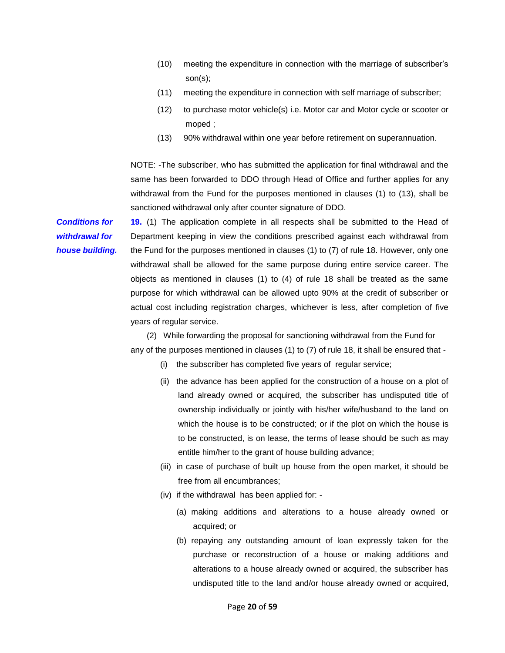- (10) meeting the expenditure in connection with the marriage of subscriber's son(s);
- (11) meeting the expenditure in connection with self marriage of subscriber;
- (12) to purchase motor vehicle(s) i.e. Motor car and Motor cycle or scooter or moped ;
- (13) 90% withdrawal within one year before retirement on superannuation.

NOTE: -The subscriber, who has submitted the application for final withdrawal and the same has been forwarded to DDO through Head of Office and further applies for any withdrawal from the Fund for the purposes mentioned in clauses (1) to (13), shall be sanctioned withdrawal only after counter signature of DDO.

*Conditions for withdrawal for house building.* 

**19.** (1) The application complete in all respects shall be submitted to the Head of Department keeping in view the conditions prescribed against each withdrawal from the Fund for the purposes mentioned in clauses (1) to (7) of rule 18. However, only one withdrawal shall be allowed for the same purpose during entire service career. The objects as mentioned in clauses (1) to (4) of rule 18 shall be treated as the same purpose for which withdrawal can be allowed upto 90% at the credit of subscriber or actual cost including registration charges, whichever is less, after completion of five years of regular service.

(2)While forwarding the proposal for sanctioning withdrawal from the Fund for any of the purposes mentioned in clauses (1) to (7) of rule 18, it shall be ensured that -

- (i) the subscriber has completed five years of regular service;
- (ii) the advance has been applied for the construction of a house on a plot of land already owned or acquired, the subscriber has undisputed title of ownership individually or jointly with his/her wife/husband to the land on which the house is to be constructed; or if the plot on which the house is to be constructed, is on lease, the terms of lease should be such as may entitle him/her to the grant of house building advance;
- (iii) in case of purchase of built up house from the open market, it should be free from all encumbrances;
- (iv) if the withdrawal has been applied for:
	- (a) making additions and alterations to a house already owned or acquired; or
	- (b) repaying any outstanding amount of loan expressly taken for the purchase or reconstruction of a house or making additions and alterations to a house already owned or acquired, the subscriber has undisputed title to the land and/or house already owned or acquired,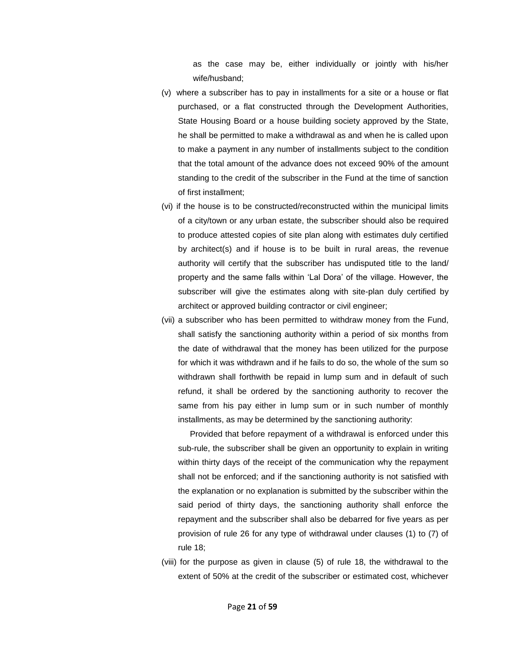as the case may be, either individually or jointly with his/her wife/husband;

- (v) where a subscriber has to pay in installments for a site or a house or flat purchased, or a flat constructed through the Development Authorities, State Housing Board or a house building society approved by the State, he shall be permitted to make a withdrawal as and when he is called upon to make a payment in any number of installments subject to the condition that the total amount of the advance does not exceed 90% of the amount standing to the credit of the subscriber in the Fund at the time of sanction of first installment;
- (vi) if the house is to be constructed/reconstructed within the municipal limits of a city/town or any urban estate, the subscriber should also be required to produce attested copies of site plan along with estimates duly certified by architect(s) and if house is to be built in rural areas, the revenue authority will certify that the subscriber has undisputed title to the land/ property and the same falls within 'Lal Dora' of the village. However, the subscriber will give the estimates along with site-plan duly certified by architect or approved building contractor or civil engineer;
- (vii) a subscriber who has been permitted to withdraw money from the Fund, shall satisfy the sanctioning authority within a period of six months from the date of withdrawal that the money has been utilized for the purpose for which it was withdrawn and if he fails to do so, the whole of the sum so withdrawn shall forthwith be repaid in lump sum and in default of such refund, it shall be ordered by the sanctioning authority to recover the same from his pay either in lump sum or in such number of monthly installments, as may be determined by the sanctioning authority:

Provided that before repayment of a withdrawal is enforced under this sub-rule, the subscriber shall be given an opportunity to explain in writing within thirty days of the receipt of the communication why the repayment shall not be enforced; and if the sanctioning authority is not satisfied with the explanation or no explanation is submitted by the subscriber within the said period of thirty days, the sanctioning authority shall enforce the repayment and the subscriber shall also be debarred for five years as per provision of rule 26 for any type of withdrawal under clauses (1) to (7) of rule 18;

(viii) for the purpose as given in clause (5) of rule 18, the withdrawal to the extent of 50% at the credit of the subscriber or estimated cost, whichever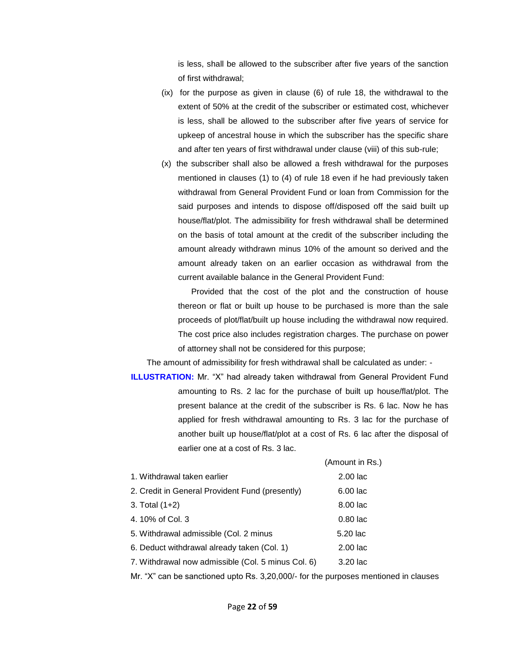is less, shall be allowed to the subscriber after five years of the sanction of first withdrawal;

- (ix) for the purpose as given in clause (6) of rule 18, the withdrawal to the extent of 50% at the credit of the subscriber or estimated cost, whichever is less, shall be allowed to the subscriber after five years of service for upkeep of ancestral house in which the subscriber has the specific share and after ten years of first withdrawal under clause (viii) of this sub-rule;
- (x) the subscriber shall also be allowed a fresh withdrawal for the purposes mentioned in clauses (1) to (4) of rule 18 even if he had previously taken withdrawal from General Provident Fund or loan from Commission for the said purposes and intends to dispose off/disposed off the said built up house/flat/plot. The admissibility for fresh withdrawal shall be determined on the basis of total amount at the credit of the subscriber including the amount already withdrawn minus 10% of the amount so derived and the amount already taken on an earlier occasion as withdrawal from the current available balance in the General Provident Fund:

Provided that the cost of the plot and the construction of house thereon or flat or built up house to be purchased is more than the sale proceeds of plot/flat/built up house including the withdrawal now required. The cost price also includes registration charges. The purchase on power of attorney shall not be considered for this purpose;

The amount of admissibility for fresh withdrawal shall be calculated as under: -

**ILLUSTRATION:** Mr. "X" had already taken withdrawal from General Provident Fund amounting to Rs. 2 lac for the purchase of built up house/flat/plot. The present balance at the credit of the subscriber is Rs. 6 lac. Now he has applied for fresh withdrawal amounting to Rs. 3 lac for the purchase of another built up house/flat/plot at a cost of Rs. 6 lac after the disposal of earlier one at a cost of Rs. 3 lac.

|                                                    | (Amount in Rs.) |
|----------------------------------------------------|-----------------|
| 1. Withdrawal taken earlier                        | $2.00$ lac      |
| 2. Credit in General Provident Fund (presently)    | $6.00$ lac      |
| 3. Total $(1+2)$                                   | 8.00 lac        |
| 4. 10% of Col. 3                                   | $0.80$ lac      |
| 5. Withdrawal admissible (Col. 2 minus             | 5.20 lac        |
| 6. Deduct withdrawal already taken (Col. 1)        | $2.00$ lac      |
| 7. Withdrawal now admissible (Col. 5 minus Col. 6) | $3.20$ lac      |
|                                                    |                 |

Mr. "X" can be sanctioned upto Rs. 3,20,000/- for the purposes mentioned in clauses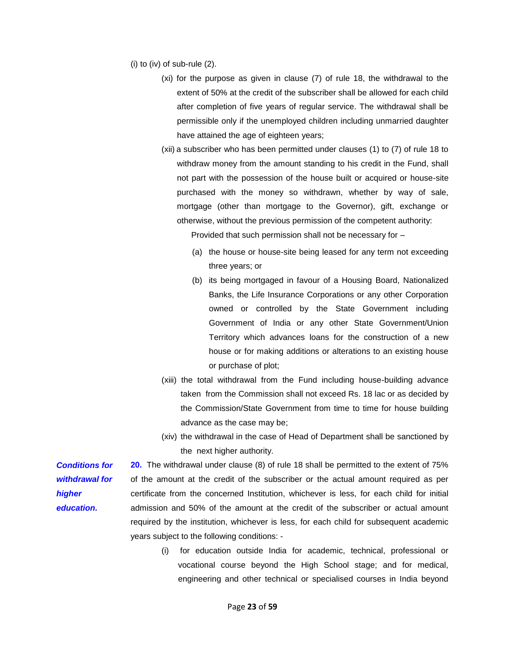(i) to (iv) of sub-rule (2).

- (xi) for the purpose as given in clause (7) of rule 18, the withdrawal to the extent of 50% at the credit of the subscriber shall be allowed for each child after completion of five years of regular service. The withdrawal shall be permissible only if the unemployed children including unmarried daughter have attained the age of eighteen years;
- (xii) a subscriber who has been permitted under clauses (1) to (7) of rule 18 to withdraw money from the amount standing to his credit in the Fund, shall not part with the possession of the house built or acquired or house-site purchased with the money so withdrawn, whether by way of sale, mortgage (other than mortgage to the Governor), gift, exchange or otherwise, without the previous permission of the competent authority:

Provided that such permission shall not be necessary for –

- (a) the house or house-site being leased for any term not exceeding three years; or
- (b) its being mortgaged in favour of a Housing Board, Nationalized Banks, the Life Insurance Corporations or any other Corporation owned or controlled by the State Government including Government of India or any other State Government/Union Territory which advances loans for the construction of a new house or for making additions or alterations to an existing house or purchase of plot;
- (xiii) the total withdrawal from the Fund including house-building advance taken from the Commission shall not exceed Rs. 18 lac or as decided by the Commission/State Government from time to time for house building advance as the case may be;
- (xiv) the withdrawal in the case of Head of Department shall be sanctioned by the next higher authority.

*Conditions for withdrawal for higher education.* 

**20.** The withdrawal under clause (8) of rule 18 shall be permitted to the extent of 75% of the amount at the credit of the subscriber or the actual amount required as per certificate from the concerned Institution, whichever is less, for each child for initial admission and 50% of the amount at the credit of the subscriber or actual amount required by the institution, whichever is less, for each child for subsequent academic years subject to the following conditions: -

> (i) for education outside India for academic, technical, professional or vocational course beyond the High School stage; and for medical, engineering and other technical or specialised courses in India beyond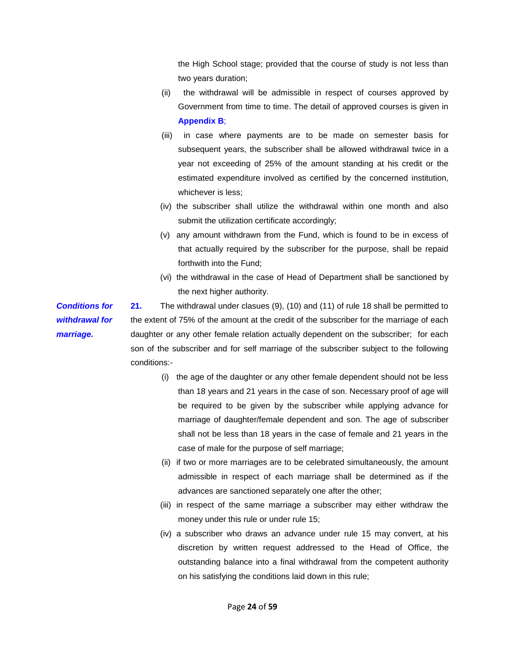the High School stage; provided that the course of study is not less than two years duration;

- (ii) the withdrawal will be admissible in respect of courses approved by Government from time to time. The detail of approved courses is given in **Appendix B**;
- (iii) in case where payments are to be made on semester basis for subsequent years, the subscriber shall be allowed withdrawal twice in a year not exceeding of 25% of the amount standing at his credit or the estimated expenditure involved as certified by the concerned institution, whichever is less;
- (iv) the subscriber shall utilize the withdrawal within one month and also submit the utilization certificate accordingly;
- (v) any amount withdrawn from the Fund, which is found to be in excess of that actually required by the subscriber for the purpose, shall be repaid forthwith into the Fund;
- (vi) the withdrawal in the case of Head of Department shall be sanctioned by the next higher authority.

*Conditions for*  **21.** The withdrawal under clasues (9), (10) and (11) of rule 18 shall be permitted to the extent of 75% of the amount at the credit of the subscriber for the marriage of each daughter or any other female relation actually dependent on the subscriber; for each son of the subscriber and for self marriage of the subscriber subject to the following conditions:-

- (i) the age of the daughter or any other female dependent should not be less than 18 years and 21 years in the case of son. Necessary proof of age will be required to be given by the subscriber while applying advance for marriage of daughter/female dependent and son. The age of subscriber shall not be less than 18 years in the case of female and 21 years in the case of male for the purpose of self marriage;
- (ii) if two or more marriages are to be celebrated simultaneously, the amount admissible in respect of each marriage shall be determined as if the advances are sanctioned separately one after the other;
- (iii) in respect of the same marriage a subscriber may either withdraw the money under this rule or under rule 15;
- (iv) a subscriber who draws an advance under rule 15 may convert, at his discretion by written request addressed to the Head of Office, the outstanding balance into a final withdrawal from the competent authority on his satisfying the conditions laid down in this rule;

*withdrawal for marriage.*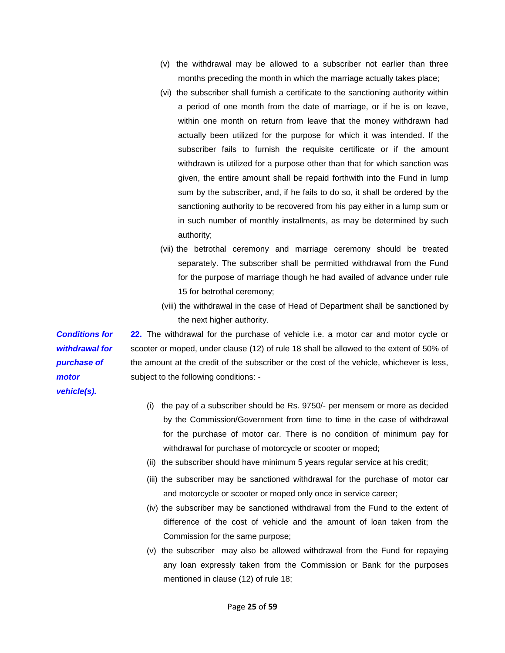- (v) the withdrawal may be allowed to a subscriber not earlier than three months preceding the month in which the marriage actually takes place;
- (vi) the subscriber shall furnish a certificate to the sanctioning authority within a period of one month from the date of marriage, or if he is on leave, within one month on return from leave that the money withdrawn had actually been utilized for the purpose for which it was intended. If the subscriber fails to furnish the requisite certificate or if the amount withdrawn is utilized for a purpose other than that for which sanction was given, the entire amount shall be repaid forthwith into the Fund in lump sum by the subscriber, and, if he fails to do so, it shall be ordered by the sanctioning authority to be recovered from his pay either in a lump sum or in such number of monthly installments, as may be determined by such authority;
- (vii) the betrothal ceremony and marriage ceremony should be treated separately. The subscriber shall be permitted withdrawal from the Fund for the purpose of marriage though he had availed of advance under rule 15 for betrothal ceremony;
- (viii) the withdrawal in the case of Head of Department shall be sanctioned by the next higher authority.

**22.** The withdrawal for the purchase of vehicle i.e. a motor car and motor cycle or scooter or moped, under clause (12) of rule 18 shall be allowed to the extent of 50% of the amount at the credit of the subscriber or the cost of the vehicle, whichever is less, subject to the following conditions: -

- (i) the pay of a subscriber should be Rs. 9750/- per mensem or more as decided by the Commission/Government from time to time in the case of withdrawal for the purchase of motor car. There is no condition of minimum pay for withdrawal for purchase of motorcycle or scooter or moped;
- (ii) the subscriber should have minimum 5 years regular service at his credit;
- (iii) the subscriber may be sanctioned withdrawal for the purchase of motor car and motorcycle or scooter or moped only once in service career;
- (iv) the subscriber may be sanctioned withdrawal from the Fund to the extent of difference of the cost of vehicle and the amount of loan taken from the Commission for the same purpose;
- (v) the subscriber may also be allowed withdrawal from the Fund for repaying any loan expressly taken from the Commission or Bank for the purposes mentioned in clause (12) of rule 18;

*Conditions for withdrawal for purchase of motor vehicle(s).*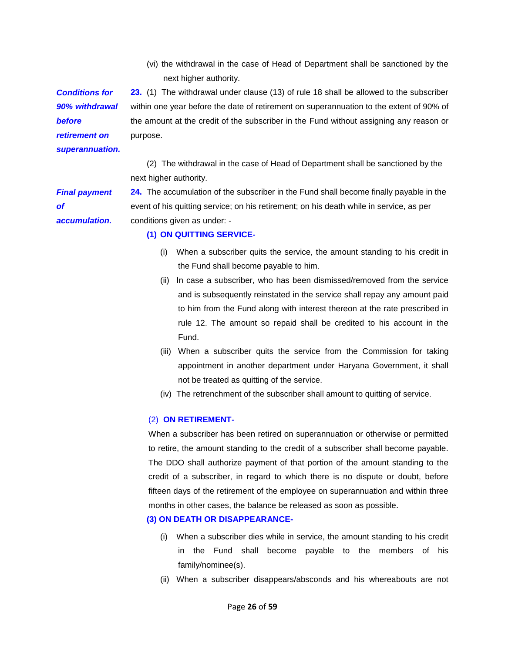(vi) the withdrawal in the case of Head of Department shall be sanctioned by the next higher authority.

*Conditions for 90% withdrawal before retirement on superannuation.*  **23.** (1) The withdrawal under clause (13) of rule 18 shall be allowed to the subscriber within one year before the date of retirement on superannuation to the extent of 90% of the amount at the credit of the subscriber in the Fund without assigning any reason or purpose.

(2) The withdrawal in the case of Head of Department shall be sanctioned by the next higher authority.

*Final payment of accumulation.* 

**24.** The accumulation of the subscriber in the Fund shall become finally payable in the event of his quitting service; on his retirement; on his death while in service, as per conditions given as under: -

#### **(1) ON QUITTING SERVICE-**

- (i) When a subscriber quits the service, the amount standing to his credit in the Fund shall become payable to him.
- (ii) In case a subscriber, who has been dismissed/removed from the service and is subsequently reinstated in the service shall repay any amount paid to him from the Fund along with interest thereon at the rate prescribed in rule 12. The amount so repaid shall be credited to his account in the Fund.
- (iii) When a subscriber quits the service from the Commission for taking appointment in another department under Haryana Government, it shall not be treated as quitting of the service.
- (iv) The retrenchment of the subscriber shall amount to quitting of service.

#### (2) **ON RETIREMENT-**

When a subscriber has been retired on superannuation or otherwise or permitted to retire, the amount standing to the credit of a subscriber shall become payable. The DDO shall authorize payment of that portion of the amount standing to the credit of a subscriber, in regard to which there is no dispute or doubt, before fifteen days of the retirement of the employee on superannuation and within three months in other cases, the balance be released as soon as possible.

#### **(3) ON DEATH OR DISAPPEARANCE-**

- (i) When a subscriber dies while in service, the amount standing to his credit in the Fund shall become payable to the members of his family/nominee(s).
- (ii) When a subscriber disappears/absconds and his whereabouts are not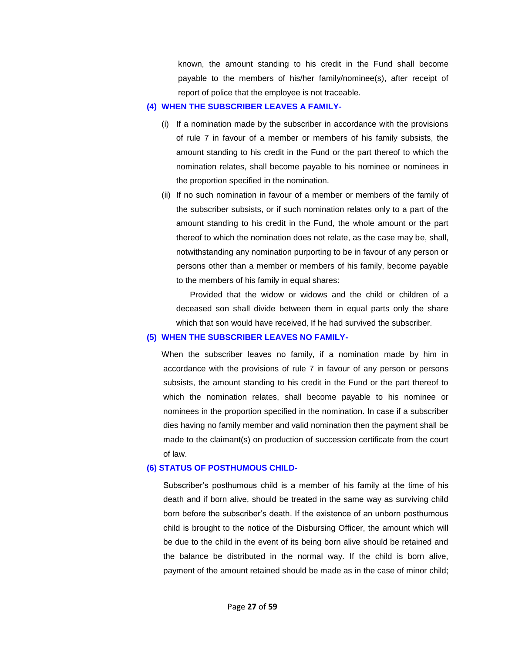known, the amount standing to his credit in the Fund shall become payable to the members of his/her family/nominee(s), after receipt of report of police that the employee is not traceable.

#### **(4) WHEN THE SUBSCRIBER LEAVES A FAMILY-**

- (i) If a nomination made by the subscriber in accordance with the provisions of rule 7 in favour of a member or members of his family subsists, the amount standing to his credit in the Fund or the part thereof to which the nomination relates, shall become payable to his nominee or nominees in the proportion specified in the nomination.
- (ii) If no such nomination in favour of a member or members of the family of the subscriber subsists, or if such nomination relates only to a part of the amount standing to his credit in the Fund, the whole amount or the part thereof to which the nomination does not relate, as the case may be, shall, notwithstanding any nomination purporting to be in favour of any person or persons other than a member or members of his family, become payable to the members of his family in equal shares:

Provided that the widow or widows and the child or children of a deceased son shall divide between them in equal parts only the share which that son would have received, If he had survived the subscriber.

#### **(5) WHEN THE SUBSCRIBER LEAVES NO FAMILY-**

When the subscriber leaves no family, if a nomination made by him in accordance with the provisions of rule 7 in favour of any person or persons subsists, the amount standing to his credit in the Fund or the part thereof to which the nomination relates, shall become payable to his nominee or nominees in the proportion specified in the nomination. In case if a subscriber dies having no family member and valid nomination then the payment shall be made to the claimant(s) on production of succession certificate from the court of law.

#### **(6) STATUS OF POSTHUMOUS CHILD-**

Subscriber's posthumous child is a member of his family at the time of his death and if born alive, should be treated in the same way as surviving child born before the subscriber's death. If the existence of an unborn posthumous child is brought to the notice of the Disbursing Officer, the amount which will be due to the child in the event of its being born alive should be retained and the balance be distributed in the normal way. If the child is born alive, payment of the amount retained should be made as in the case of minor child;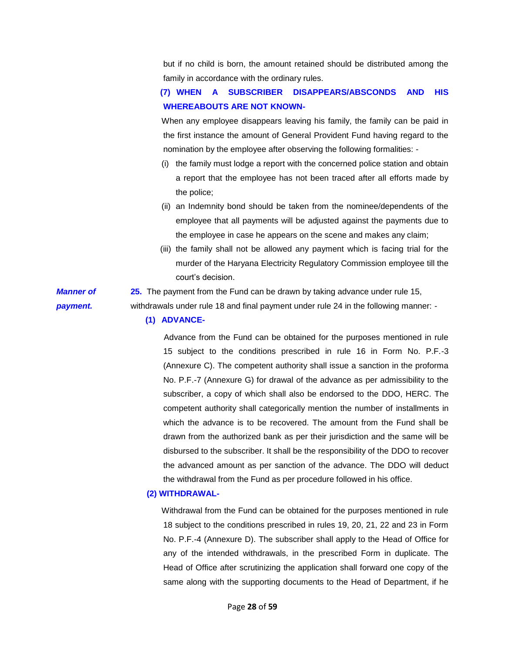but if no child is born, the amount retained should be distributed among the family in accordance with the ordinary rules.

# **(7) WHEN A SUBSCRIBER DISAPPEARS/ABSCONDS AND HIS WHEREABOUTS ARE NOT KNOWN-**

When any employee disappears leaving his family, the family can be paid in the first instance the amount of General Provident Fund having regard to the nomination by the employee after observing the following formalities: -

- (i) the family must lodge a report with the concerned police station and obtain a report that the employee has not been traced after all efforts made by the police;
- (ii) an Indemnity bond should be taken from the nominee/dependents of the employee that all payments will be adjusted against the payments due to the employee in case he appears on the scene and makes any claim;
- (iii) the family shall not be allowed any payment which is facing trial for the murder of the Haryana Electricity Regulatory Commission employee till the court's decision.

*Manner of payment.*  **25.** The payment from the Fund can be drawn by taking advance under rule 15, withdrawals under rule 18 and final payment under rule 24 in the following manner: -

#### **(1) ADVANCE-**

Advance from the Fund can be obtained for the purposes mentioned in rule 15 subject to the conditions prescribed in rule 16 in Form No. P.F.-3 (Annexure C). The competent authority shall issue a sanction in the proforma No. P.F.-7 (Annexure G) for drawal of the advance as per admissibility to the subscriber, a copy of which shall also be endorsed to the DDO, HERC. The competent authority shall categorically mention the number of installments in which the advance is to be recovered. The amount from the Fund shall be drawn from the authorized bank as per their jurisdiction and the same will be disbursed to the subscriber. It shall be the responsibility of the DDO to recover the advanced amount as per sanction of the advance. The DDO will deduct the withdrawal from the Fund as per procedure followed in his office.

### **(2) WITHDRAWAL-**

Withdrawal from the Fund can be obtained for the purposes mentioned in rule 18 subject to the conditions prescribed in rules 19, 20, 21, 22 and 23 in Form No. P.F.-4 (Annexure D). The subscriber shall apply to the Head of Office for any of the intended withdrawals, in the prescribed Form in duplicate. The Head of Office after scrutinizing the application shall forward one copy of the same along with the supporting documents to the Head of Department, if he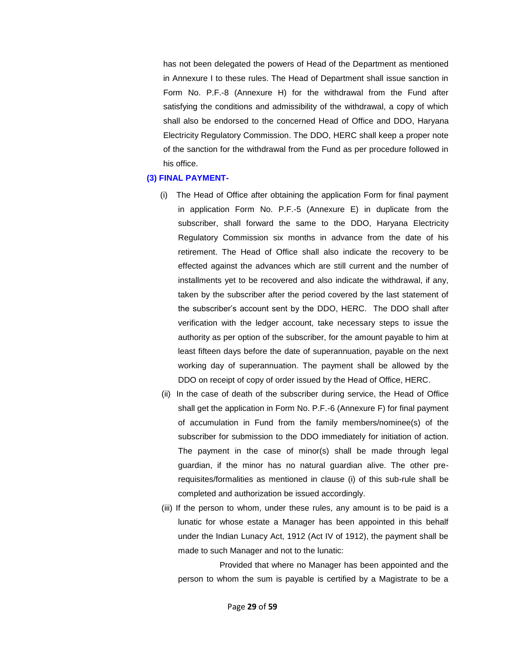has not been delegated the powers of Head of the Department as mentioned in Annexure I to these rules. The Head of Department shall issue sanction in Form No. P.F.-8 (Annexure H) for the withdrawal from the Fund after satisfying the conditions and admissibility of the withdrawal, a copy of which shall also be endorsed to the concerned Head of Office and DDO, Haryana Electricity Regulatory Commission. The DDO, HERC shall keep a proper note of the sanction for the withdrawal from the Fund as per procedure followed in his office.

#### **(3) FINAL PAYMENT-**

- (i) The Head of Office after obtaining the application Form for final payment in application Form No. P.F.-5 (Annexure E) in duplicate from the subscriber, shall forward the same to the DDO, Haryana Electricity Regulatory Commission six months in advance from the date of his retirement. The Head of Office shall also indicate the recovery to be effected against the advances which are still current and the number of installments yet to be recovered and also indicate the withdrawal, if any, taken by the subscriber after the period covered by the last statement of the subscriber's account sent by the DDO, HERC. The DDO shall after verification with the ledger account, take necessary steps to issue the authority as per option of the subscriber, for the amount payable to him at least fifteen days before the date of superannuation, payable on the next working day of superannuation. The payment shall be allowed by the DDO on receipt of copy of order issued by the Head of Office, HERC.
- (ii) In the case of death of the subscriber during service, the Head of Office shall get the application in Form No. P.F.-6 (Annexure F) for final payment of accumulation in Fund from the family members/nominee(s) of the subscriber for submission to the DDO immediately for initiation of action. The payment in the case of minor(s) shall be made through legal guardian, if the minor has no natural guardian alive. The other prerequisites/formalities as mentioned in clause (i) of this sub-rule shall be completed and authorization be issued accordingly.
- (iii) If the person to whom, under these rules, any amount is to be paid is a lunatic for whose estate a Manager has been appointed in this behalf under the Indian Lunacy Act, 1912 (Act IV of 1912), the payment shall be made to such Manager and not to the lunatic:

Provided that where no Manager has been appointed and the person to whom the sum is payable is certified by a Magistrate to be a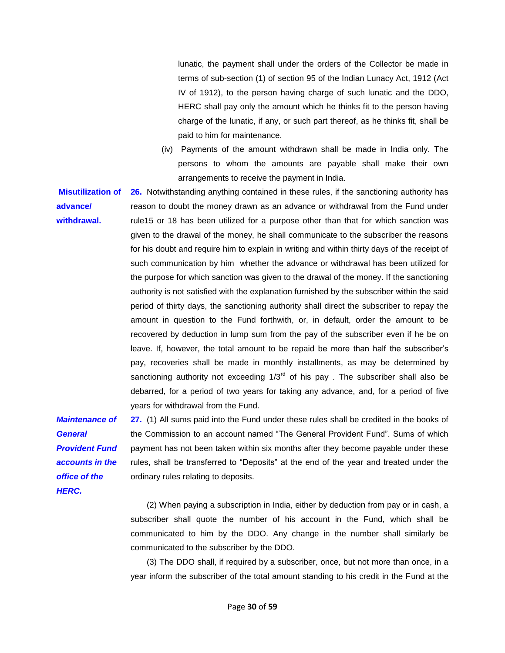lunatic, the payment shall under the orders of the Collector be made in terms of sub-section (1) of section 95 of the Indian Lunacy Act, 1912 (Act IV of 1912), to the person having charge of such lunatic and the DDO, HERC shall pay only the amount which he thinks fit to the person having charge of the lunatic, if any, or such part thereof, as he thinks fit, shall be paid to him for maintenance.

(iv) Payments of the amount withdrawn shall be made in India only. The persons to whom the amounts are payable shall make their own arrangements to receive the payment in India.

**Misutilization of 26.** Notwithstanding anything contained in these rules, if the sanctioning authority has **advance/ withdrawal.**  reason to doubt the money drawn as an advance or withdrawal from the Fund under rule15 or 18 has been utilized for a purpose other than that for which sanction was given to the drawal of the money, he shall communicate to the subscriber the reasons for his doubt and require him to explain in writing and within thirty days of the receipt of such communication by him whether the advance or withdrawal has been utilized for the purpose for which sanction was given to the drawal of the money. If the sanctioning authority is not satisfied with the explanation furnished by the subscriber within the said period of thirty days, the sanctioning authority shall direct the subscriber to repay the amount in question to the Fund forthwith, or, in default, order the amount to be recovered by deduction in lump sum from the pay of the subscriber even if he be on leave. If, however, the total amount to be repaid be more than half the subscriber's pay, recoveries shall be made in monthly installments, as may be determined by sanctioning authority not exceeding  $1/3^{rd}$  of his pay. The subscriber shall also be debarred, for a period of two years for taking any advance, and, for a period of five years for withdrawal from the Fund.

*Maintenance of General Provident Fund accounts in the office of the HERC.* 

**27.** (1) All sums paid into the Fund under these rules shall be credited in the books of the Commission to an account named "The General Provident Fund". Sums of which payment has not been taken within six months after they become payable under these rules, shall be transferred to "Deposits" at the end of the year and treated under the ordinary rules relating to deposits.

(2) When paying a subscription in India, either by deduction from pay or in cash, a subscriber shall quote the number of his account in the Fund, which shall be communicated to him by the DDO. Any change in the number shall similarly be communicated to the subscriber by the DDO.

(3) The DDO shall, if required by a subscriber, once, but not more than once, in a year inform the subscriber of the total amount standing to his credit in the Fund at the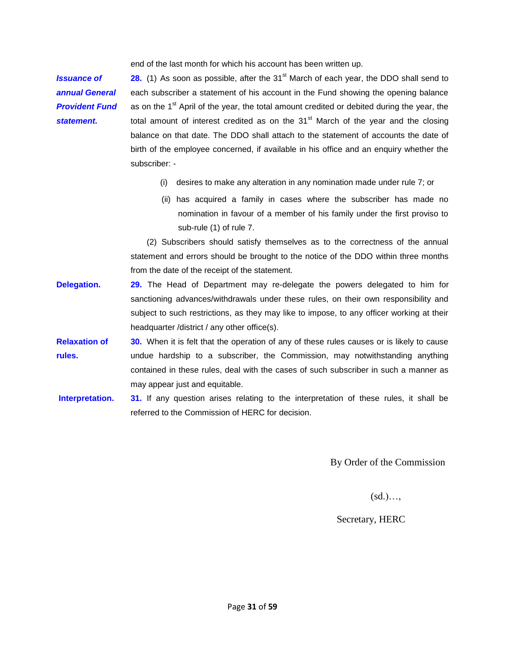end of the last month for which his account has been written up.

*Issuance of annual General Provident Fund statement.* 

**28.** (1) As soon as possible, after the 31<sup>st</sup> March of each year, the DDO shall send to each subscriber a statement of his account in the Fund showing the opening balance as on the  $1<sup>st</sup>$  April of the year, the total amount credited or debited during the year, the total amount of interest credited as on the  $31<sup>st</sup>$  March of the year and the closing balance on that date. The DDO shall attach to the statement of accounts the date of birth of the employee concerned, if available in his office and an enquiry whether the subscriber: -

- (i) desires to make any alteration in any nomination made under rule 7; or
- (ii) has acquired a family in cases where the subscriber has made no nomination in favour of a member of his family under the first proviso to sub-rule (1) of rule 7.

(2) Subscribers should satisfy themselves as to the correctness of the annual statement and errors should be brought to the notice of the DDO within three months from the date of the receipt of the statement.

- **Delegation.** 29. The Head of Department may re-delegate the powers delegated to him for sanctioning advances/withdrawals under these rules, on their own responsibility and subject to such restrictions, as they may like to impose, to any officer working at their headquarter /district / any other office(s).
- **Relaxation of rules. 30.** When it is felt that the operation of any of these rules causes or is likely to cause undue hardship to a subscriber, the Commission, may notwithstanding anything contained in these rules, deal with the cases of such subscriber in such a manner as may appear just and equitable.
- **Interpretation. 31.** If any question arises relating to the interpretation of these rules, it shall be referred to the Commission of HERC for decision.

By Order of the Commission

 $(sd)$ …

Secretary, HERC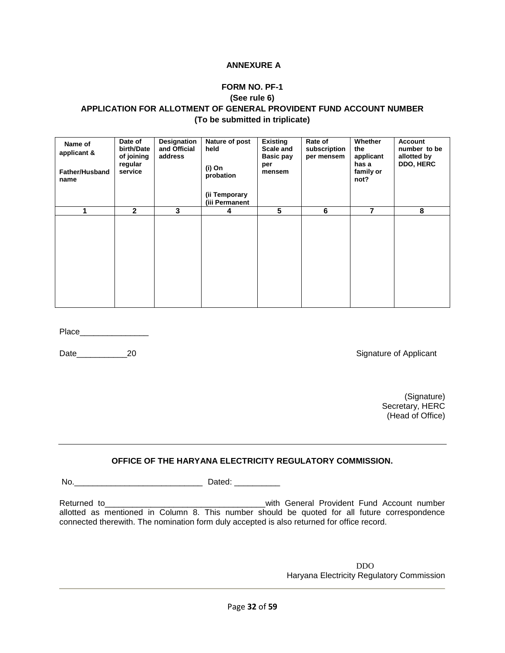#### **ANNEXURE A**

### **FORM NO. PF-1**

#### **(See rule 6)**

### **APPLICATION FOR ALLOTMENT OF GENERAL PROVIDENT FUND ACCOUNT NUMBER (To be submitted in triplicate)**

| Name of<br>applicant &<br><b>Father/Husband</b><br>name | Date of<br>birth/Date<br>of joining<br>regular<br>service | Designation<br>and Official<br>address | Nature of post<br>held<br>(i) On<br>probation<br>(ii Temporary<br>(iii Permanent | <b>Existing</b><br>Scale and<br>Basic pay<br>per<br>mensem | Rate of<br>subscription<br>per mensem | Whether<br>the<br>applicant<br>has a<br>family or<br>not? | <b>Account</b><br>number to be<br>allotted by<br>DDO, HERC |
|---------------------------------------------------------|-----------------------------------------------------------|----------------------------------------|----------------------------------------------------------------------------------|------------------------------------------------------------|---------------------------------------|-----------------------------------------------------------|------------------------------------------------------------|
|                                                         |                                                           |                                        |                                                                                  |                                                            |                                       |                                                           |                                                            |
|                                                         | $\mathbf{2}$                                              | 3                                      | 4                                                                                | 5                                                          | 6                                     | 7                                                         | 8                                                          |
|                                                         |                                                           |                                        |                                                                                  |                                                            |                                       |                                                           |                                                            |

Place\_\_\_\_\_\_\_\_\_\_\_\_\_\_\_

Date\_\_\_\_\_\_\_\_\_\_\_\_\_\_\_\_20 20 and the contract of Applicant Signature of Applicant

 (Signature) Secretary, HERC (Head of Office)

### **OFFICE OF THE HARYANA ELECTRICITY REGULATORY COMMISSION.**

No.\_\_\_\_\_\_\_\_\_\_\_\_\_\_\_\_\_\_\_\_\_\_\_\_\_\_\_\_ Dated: \_\_\_\_\_\_\_\_\_\_

Returned to\_\_\_\_\_\_\_\_\_\_\_\_\_\_\_\_\_\_\_\_\_\_\_\_\_\_\_\_\_\_\_\_\_\_\_with General Provident Fund Account number allotted as mentioned in Column 8. This number should be quoted for all future correspondence connected therewith. The nomination form duly accepted is also returned for office record.

> DDO Haryana Electricity Regulatory Commission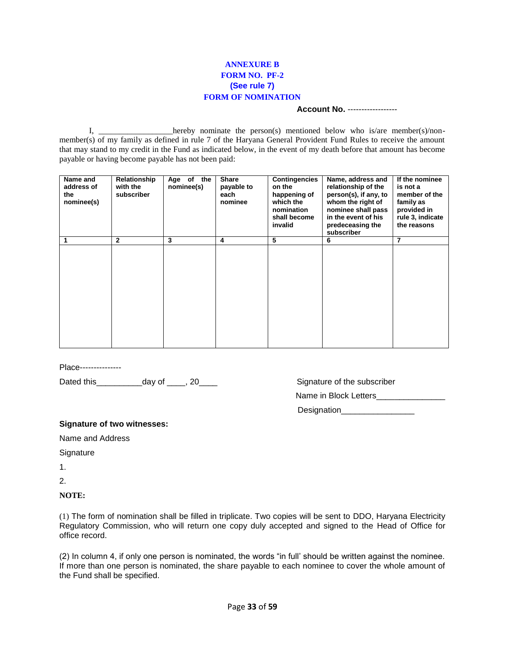### **ANNEXURE B FORM NO. PF-2 (See rule 7) FORM OF NOMINATION**

#### **Account No.** ------------------

I, \_\_\_\_\_\_\_\_\_\_\_\_\_\_\_\_hereby nominate the person(s) mentioned below who is/are member(s)/nonmember(s) of my family as defined in rule 7 of the Haryana General Provident Fund Rules to receive the amount that may stand to my credit in the Fund as indicated below, in the event of my death before that amount has become payable or having become payable has not been paid:

| Name and<br>address of<br>the<br>nominee(s) | Relationship<br>with the<br>subscriber | the<br>Age of<br>nominee(s) | <b>Share</b><br>payable to<br>each<br>nominee | <b>Contingencies</b><br>on the<br>happening of<br>which the<br>nomination<br>shall become<br>invalid | Name, address and<br>relationship of the<br>person(s), if any, to<br>whom the right of<br>nominee shall pass<br>in the event of his<br>predeceasing the<br>subscriber | If the nominee<br>is not a<br>member of the<br>family as<br>provided in<br>rule 3, indicate<br>the reasons |
|---------------------------------------------|----------------------------------------|-----------------------------|-----------------------------------------------|------------------------------------------------------------------------------------------------------|-----------------------------------------------------------------------------------------------------------------------------------------------------------------------|------------------------------------------------------------------------------------------------------------|
| 1                                           | 2                                      | 3                           | 4                                             | 5                                                                                                    | 6                                                                                                                                                                     | 7                                                                                                          |
|                                             |                                        |                             |                                               |                                                                                                      |                                                                                                                                                                       |                                                                                                            |

Place---------------

Dated this\_\_\_\_\_\_\_\_\_\_day of \_\_\_\_, 20\_\_\_\_ Signature of the subscriber

Name in Block Letters

Designation

#### **Signature of two witnesses:**

Name and Address

**Signature** 

1.

2.

#### **NOTE:**

(1) The form of nomination shall be filled in triplicate. Two copies will be sent to DDO, Haryana Electricity Regulatory Commission, who will return one copy duly accepted and signed to the Head of Office for office record.

(2) In column 4, if only one person is nominated, the words "in full' should be written against the nominee. If more than one person is nominated, the share payable to each nominee to cover the whole amount of the Fund shall be specified.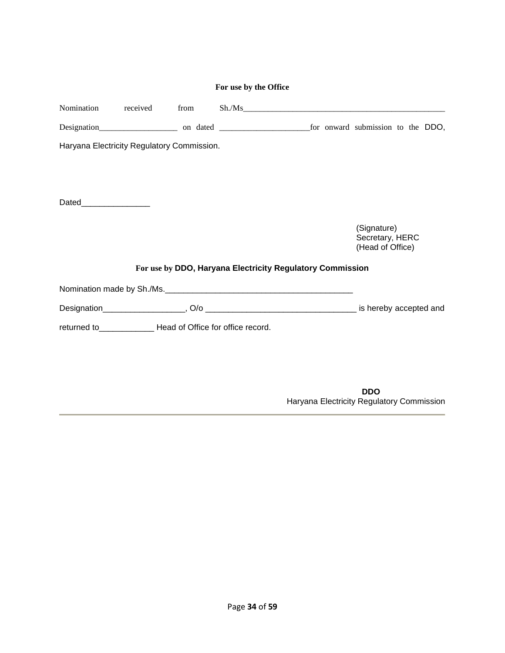|                         |                                                             | For use by the Office |                                                           |                                                    |
|-------------------------|-------------------------------------------------------------|-----------------------|-----------------------------------------------------------|----------------------------------------------------|
| Nomination              | received from                                               |                       |                                                           | Sh. / Ms                                           |
|                         |                                                             |                       |                                                           |                                                    |
|                         | Haryana Electricity Regulatory Commission.                  |                       |                                                           |                                                    |
|                         |                                                             |                       |                                                           |                                                    |
|                         |                                                             |                       |                                                           |                                                    |
| Dated__________________ |                                                             |                       |                                                           |                                                    |
|                         |                                                             |                       |                                                           | (Signature)<br>Secretary, HERC<br>(Head of Office) |
|                         |                                                             |                       | For use by DDO, Haryana Electricity Regulatory Commission |                                                    |
|                         |                                                             |                       | Nomination made by Sh./Ms.                                |                                                    |
|                         |                                                             |                       |                                                           |                                                    |
|                         | returned to______________ Head of Office for office record. |                       |                                                           |                                                    |
|                         |                                                             |                       |                                                           |                                                    |
|                         |                                                             |                       |                                                           |                                                    |
|                         |                                                             |                       |                                                           | <b>DDO</b>                                         |
|                         |                                                             |                       |                                                           | Haryana Electricity Regulatory Commission          |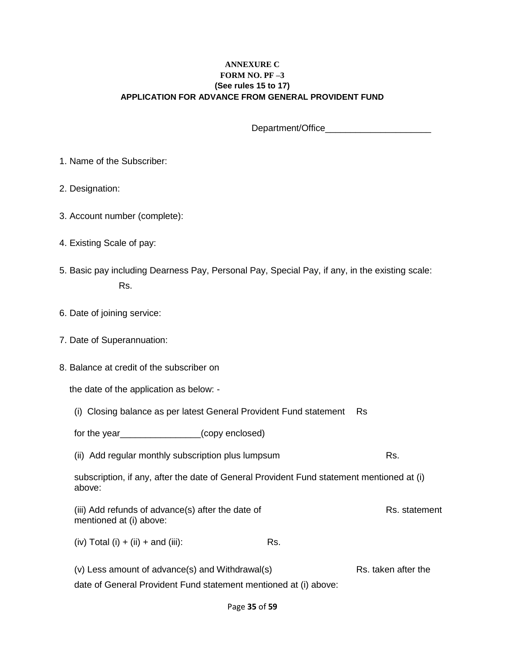### **ANNEXURE C FORM NO. PF –3 (See rules 15 to 17) APPLICATION FOR ADVANCE FROM GENERAL PROVIDENT FUND**

Department/Office

- 1. Name of the Subscriber:
- 2. Designation:
- 3. Account number (complete):
- 4. Existing Scale of pay:
- 5. Basic pay including Dearness Pay, Personal Pay, Special Pay, if any, in the existing scale: Rs.
- 6. Date of joining service:
- 7. Date of Superannuation:
- 8. Balance at credit of the subscriber on

the date of the application as below: -

- (i) Closing balance as per latest General Provident Fund statement Rs
- for the year\_\_\_\_\_\_\_\_\_\_\_\_\_\_\_\_(copy enclosed)
- (ii) Add regular monthly subscription plus lumpsum example and research Rs.
- subscription, if any, after the date of General Provident Fund statement mentioned at (i) above:
- (iii) Add refunds of advance(s) after the date of Rs. statement mentioned at (i) above:
- $(iv)$  Total  $(i) + (ii) +$  and  $(iii)$ : Rs.
- (v) Less amount of advance(s) and Withdrawal(s)  $\qquad \qquad$  Rs. taken after the
- date of General Provident Fund statement mentioned at (i) above: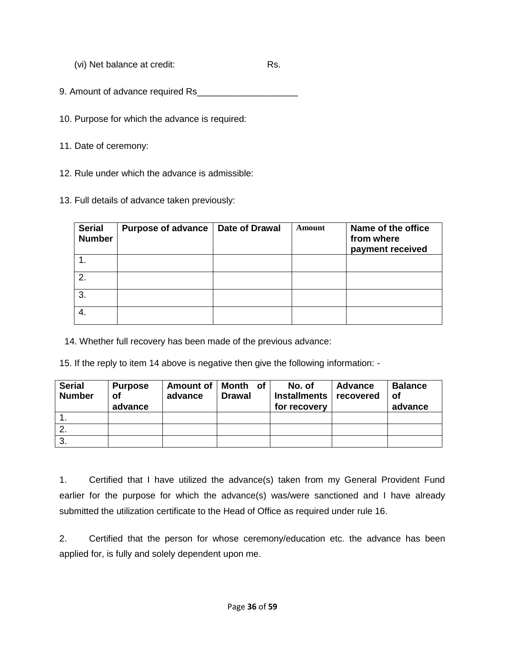(vi) Net balance at credit: Rs.

9. Amount of advance required Rs\_\_\_\_\_\_\_\_\_\_\_\_\_\_\_\_\_\_\_\_

10. Purpose for which the advance is required:

11. Date of ceremony:

12. Rule under which the advance is admissible:

13. Full details of advance taken previously:

| <b>Serial</b><br><b>Number</b> | Purpose of advance   Date of Drawal | Amount | Name of the office<br>from where<br>payment received |
|--------------------------------|-------------------------------------|--------|------------------------------------------------------|
|                                |                                     |        |                                                      |
| $\mathcal{P}$                  |                                     |        |                                                      |
| 3.                             |                                     |        |                                                      |
|                                |                                     |        |                                                      |

14. Whether full recovery has been made of the previous advance:

15. If the reply to item 14 above is negative then give the following information: -

| <b>Serial</b><br><b>Number</b> | <b>Purpose</b><br>оf<br>advance | advance | Amount of   Month of  <br><b>Drawal</b> | No. of<br>Installments<br>for recovery | <b>Advance</b><br>recovered | <b>Balance</b><br>οf<br>advance |
|--------------------------------|---------------------------------|---------|-----------------------------------------|----------------------------------------|-----------------------------|---------------------------------|
|                                |                                 |         |                                         |                                        |                             |                                 |
| 2.                             |                                 |         |                                         |                                        |                             |                                 |
| 3.                             |                                 |         |                                         |                                        |                             |                                 |

1. Certified that I have utilized the advance(s) taken from my General Provident Fund earlier for the purpose for which the advance(s) was/were sanctioned and I have already submitted the utilization certificate to the Head of Office as required under rule 16.

2. Certified that the person for whose ceremony/education etc. the advance has been applied for, is fully and solely dependent upon me.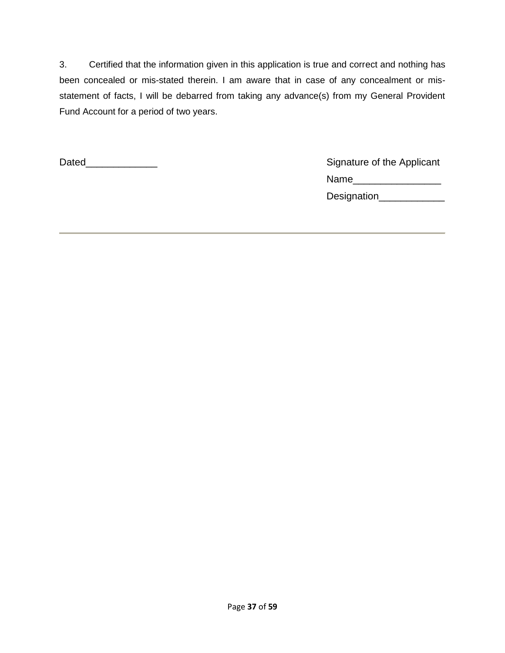3. Certified that the information given in this application is true and correct and nothing has been concealed or mis-stated therein. I am aware that in case of any concealment or misstatement of facts, I will be debarred from taking any advance(s) from my General Provident Fund Account for a period of two years.

Dated\_\_\_\_\_\_\_\_\_\_\_\_\_ Signature of the Applicant Name\_\_\_\_\_\_\_\_\_\_\_\_\_\_\_\_ Designation\_\_\_\_\_\_\_\_\_\_\_\_\_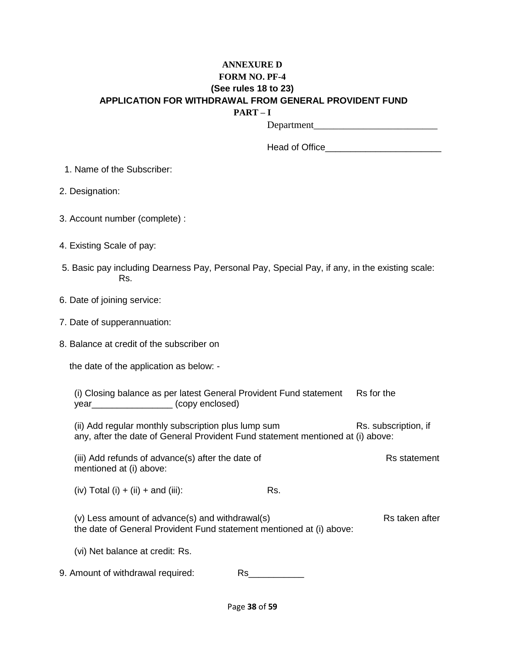### **ANNEXURE D FORM NO. PF-4 (See rules 18 to 23) APPLICATION FOR WITHDRAWAL FROM GENERAL PROVIDENT FUND PART – I**

Department\_\_\_\_\_\_\_\_\_\_\_\_\_\_\_\_\_\_\_\_\_\_\_\_\_

| Head of Office |  |
|----------------|--|
|----------------|--|

1. Name of the Subscriber:

2. Designation:

3. Account number (complete) :

4. Existing Scale of pay:

- 5. Basic pay including Dearness Pay, Personal Pay, Special Pay, if any, in the existing scale: Rs.
- 6. Date of joining service:
- 7. Date of supperannuation:

8. Balance at credit of the subscriber on

the date of the application as below: -

(i) Closing balance as per latest General Provident Fund statement Rs for the year\_\_\_\_\_\_\_\_\_\_\_\_\_\_\_\_ (copy enclosed)

(ii) Add regular monthly subscription plus lump sum Rs. subscription, if any, after the date of General Provident Fund statement mentioned at (i) above:

(iii) Add refunds of advance(s) after the date of Rs statement mentioned at (i) above:

 $(iv)$  Total  $(i) + (ii) +$  and  $(iii)$ : Rs.

(v) Less amount of advance(s) and withdrawal(s) example and response that Rs taken after the date of General Provident Fund statement mentioned at (i) above:

(vi) Net balance at credit: Rs.

9. Amount of withdrawal required: Rs\_\_\_\_\_\_\_\_\_\_\_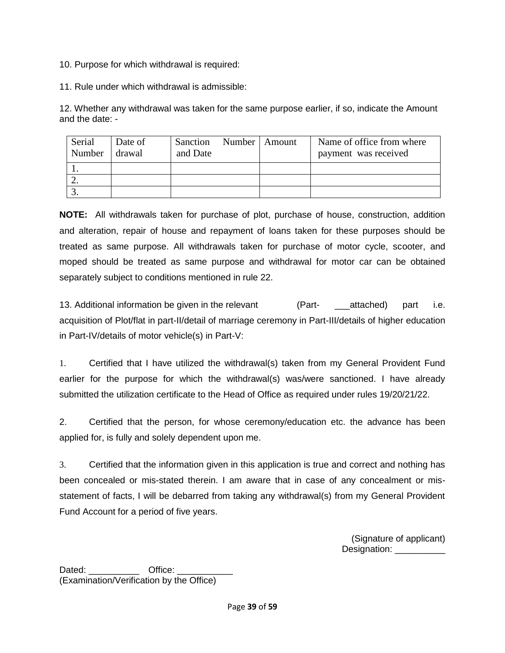10. Purpose for which withdrawal is required:

11. Rule under which withdrawal is admissible:

12. Whether any withdrawal was taken for the same purpose earlier, if so, indicate the Amount and the date: -

| Serial<br>Number | Date of<br>drawal | Sanction<br>and Date | Number   Amount | Name of office from where<br>payment was received |
|------------------|-------------------|----------------------|-----------------|---------------------------------------------------|
|                  |                   |                      |                 |                                                   |
|                  |                   |                      |                 |                                                   |
|                  |                   |                      |                 |                                                   |

**NOTE:** All withdrawals taken for purchase of plot, purchase of house, construction, addition and alteration, repair of house and repayment of loans taken for these purposes should be treated as same purpose. All withdrawals taken for purchase of motor cycle, scooter, and moped should be treated as same purpose and withdrawal for motor car can be obtained separately subject to conditions mentioned in rule 22.

13. Additional information be given in the relevant (Part- attached) part i.e. acquisition of Plot/flat in part-II/detail of marriage ceremony in Part-III/details of higher education in Part-IV/details of motor vehicle(s) in Part-V:

1. Certified that I have utilized the withdrawal(s) taken from my General Provident Fund earlier for the purpose for which the withdrawal(s) was/were sanctioned. I have already submitted the utilization certificate to the Head of Office as required under rules 19/20/21/22.

2. Certified that the person, for whose ceremony/education etc. the advance has been applied for, is fully and solely dependent upon me.

3. Certified that the information given in this application is true and correct and nothing has been concealed or mis-stated therein. I am aware that in case of any concealment or misstatement of facts, I will be debarred from taking any withdrawal(s) from my General Provident Fund Account for a period of five years.

> (Signature of applicant) Designation: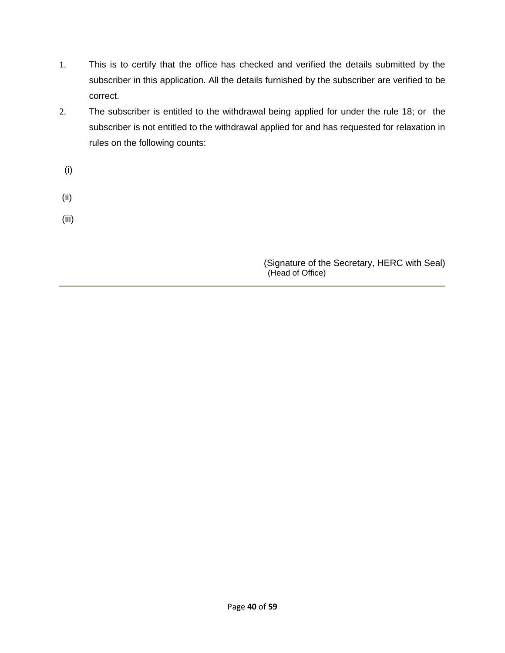- 1. This is to certify that the office has checked and verified the details submitted by the subscriber in this application. All the details furnished by the subscriber are verified to be correct.
- 2. The subscriber is entitled to the withdrawal being applied for under the rule 18; or the subscriber is not entitled to the withdrawal applied for and has requested for relaxation in rules on the following counts:
	- (i)
- (ii)
- (iii)

(Signature of the Secretary, HERC with Seal) (Head of Office)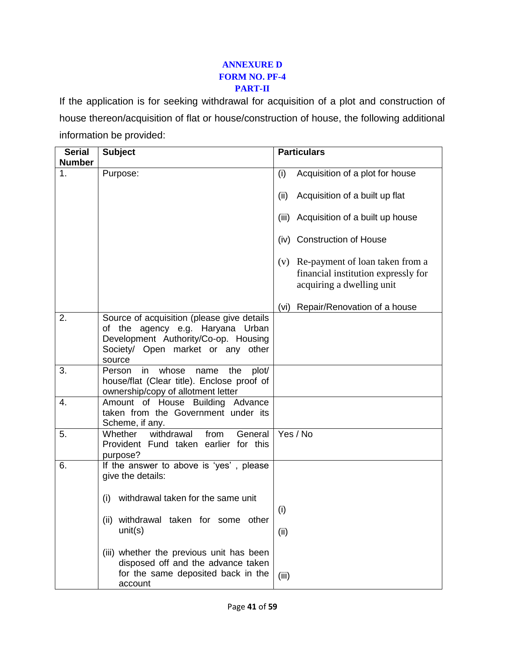### **ANNEXURE D FORM NO. PF-4 PART-II**

If the application is for seeking withdrawal for acquisition of a plot and construction of house thereon/acquisition of flat or house/construction of house, the following additional information be provided:

| <b>Serial</b>  | <b>Subject</b>                                                                                                                                                        | <b>Particulars</b>                                                                                      |
|----------------|-----------------------------------------------------------------------------------------------------------------------------------------------------------------------|---------------------------------------------------------------------------------------------------------|
| <b>Number</b>  |                                                                                                                                                                       |                                                                                                         |
| 1 <sub>1</sub> | Purpose:                                                                                                                                                              | (i)<br>Acquisition of a plot for house                                                                  |
|                |                                                                                                                                                                       | Acquisition of a built up flat<br>(ii)                                                                  |
|                |                                                                                                                                                                       | Acquisition of a built up house<br>(iii)                                                                |
|                |                                                                                                                                                                       | (iv) Construction of House                                                                              |
|                |                                                                                                                                                                       | (v) Re-payment of loan taken from a<br>financial institution expressly for<br>acquiring a dwelling unit |
|                |                                                                                                                                                                       | Repair/Renovation of a house<br>(vi)                                                                    |
| 2.             | Source of acquisition (please give details<br>of the agency e.g. Haryana Urban<br>Development Authority/Co-op. Housing<br>Society/ Open market or any other<br>source |                                                                                                         |
| 3.             | whose<br>in<br>the<br>plot/<br>Person<br>name<br>house/flat (Clear title). Enclose proof of<br>ownership/copy of allotment letter                                     |                                                                                                         |
| 4.             | Amount of House Building Advance<br>taken from the Government under its<br>Scheme, if any.                                                                            |                                                                                                         |
| 5.             | withdrawal<br>Whether<br>from<br>General<br>Provident Fund taken earlier for this<br>purpose?                                                                         | Yes / No                                                                                                |
| 6.             | If the answer to above is 'yes', please<br>give the details:                                                                                                          |                                                                                                         |
|                | withdrawal taken for the same unit<br>(i)                                                                                                                             | (i)                                                                                                     |
|                | withdrawal taken for some other<br>(ii)<br>unit(s)                                                                                                                    | (ii)                                                                                                    |
|                | (iii) whether the previous unit has been<br>disposed off and the advance taken                                                                                        |                                                                                                         |
|                | for the same deposited back in the<br>account                                                                                                                         | (iii)                                                                                                   |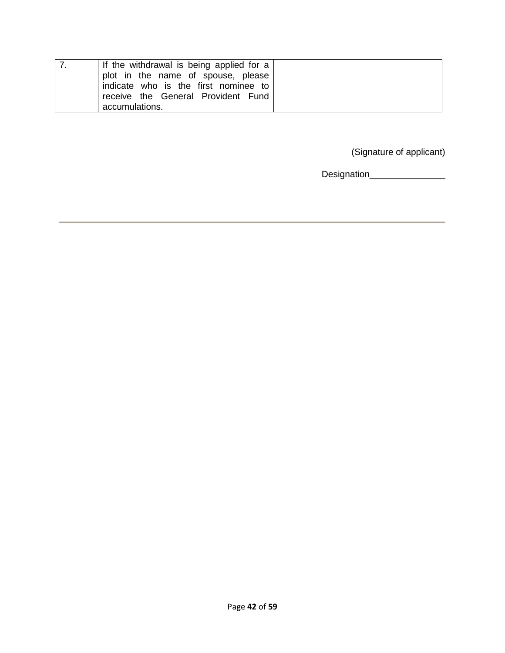| If the withdrawal is being applied for a<br>plot in the name of spouse, please<br>indicate who is the first nominee to |
|------------------------------------------------------------------------------------------------------------------------|
| receive the General Provident Fund                                                                                     |
| accumulations.                                                                                                         |

(Signature of applicant)

Designation\_\_\_\_\_\_\_\_\_\_\_\_\_\_\_\_\_\_\_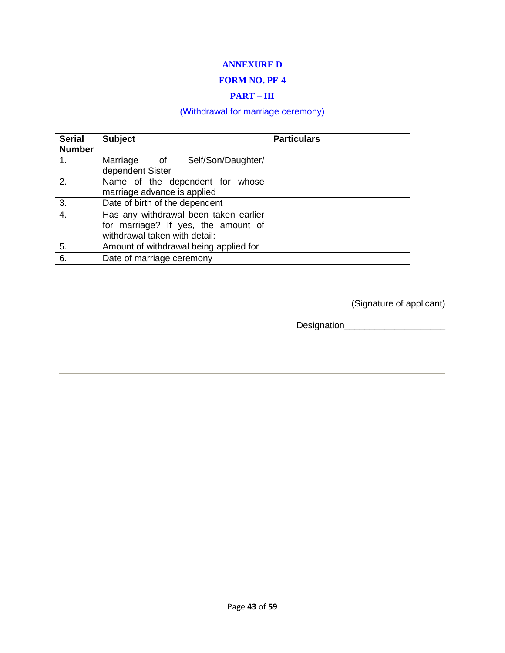### **ANNEXURE D**

### **FORM NO. PF-4**

### **PART – III**

# (Withdrawal for marriage ceremony)

| <b>Serial</b><br><b>Number</b> | <b>Subject</b>                                                                                                | <b>Particulars</b> |
|--------------------------------|---------------------------------------------------------------------------------------------------------------|--------------------|
| 1.                             | Marriage<br>Self/Son/Daughter/<br>of<br>dependent Sister                                                      |                    |
| 2.                             | Name of the dependent for whose<br>marriage advance is applied                                                |                    |
| 3.                             | Date of birth of the dependent                                                                                |                    |
| 4.                             | Has any withdrawal been taken earlier<br>for marriage? If yes, the amount of<br>withdrawal taken with detail: |                    |
| 5.                             | Amount of withdrawal being applied for                                                                        |                    |
| 6.                             | Date of marriage ceremony                                                                                     |                    |

(Signature of applicant)

Designation\_\_\_\_\_\_\_\_\_\_\_\_\_\_\_\_\_\_\_\_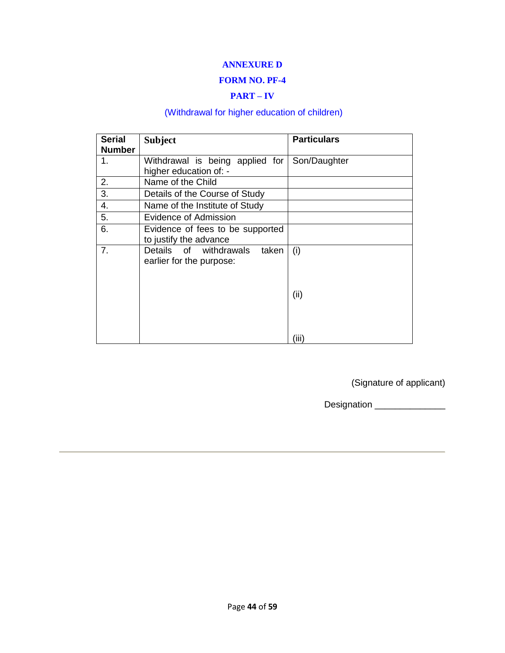### **ANNEXURE D**

### **FORM NO. PF-4**

### **PART – IV**

# (Withdrawal for higher education of children)

| <b>Serial</b><br><b>Number</b> | <b>Subject</b>                               | <b>Particulars</b> |
|--------------------------------|----------------------------------------------|--------------------|
| 1.                             | Withdrawal is being applied for Son/Daughter |                    |
|                                | higher education of: -                       |                    |
| 2.                             | Name of the Child                            |                    |
| 3.                             | Details of the Course of Study               |                    |
| 4.                             | Name of the Institute of Study               |                    |
| 5.                             | Evidence of Admission                        |                    |
| 6.                             | Evidence of fees to be supported             |                    |
|                                | to justify the advance                       |                    |
| 7.                             | Details of withdrawals<br>taken              | (i)                |
|                                | earlier for the purpose:                     |                    |
|                                |                                              |                    |
|                                |                                              |                    |
|                                |                                              | (ii)               |
|                                |                                              |                    |
|                                |                                              |                    |
|                                |                                              | (iii)              |

(Signature of applicant)

Designation \_\_\_\_\_\_\_\_\_\_\_\_\_\_\_\_\_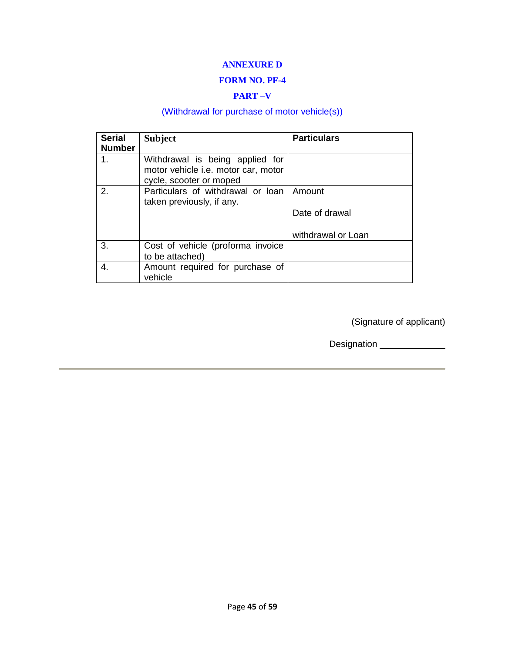### **ANNEXURE D**

### **FORM NO. PF-4**

### **PART –V**

# (Withdrawal for purchase of motor vehicle(s))

| <b>Serial</b><br><b>Number</b> | <b>Subject</b>                                                                                    | <b>Particulars</b> |
|--------------------------------|---------------------------------------------------------------------------------------------------|--------------------|
| 1.                             | Withdrawal is being applied for<br>motor vehicle i.e. motor car, motor<br>cycle, scooter or moped |                    |
| 2.                             | Particulars of withdrawal or loan<br>taken previously, if any.                                    | Amount             |
|                                |                                                                                                   | Date of drawal     |
|                                |                                                                                                   | withdrawal or Loan |
| 3.                             | Cost of vehicle (proforma invoice<br>to be attached)                                              |                    |
| 4.                             | Amount required for purchase of<br>vehicle                                                        |                    |

(Signature of applicant)

Designation \_\_\_\_\_\_\_\_\_\_\_\_\_\_\_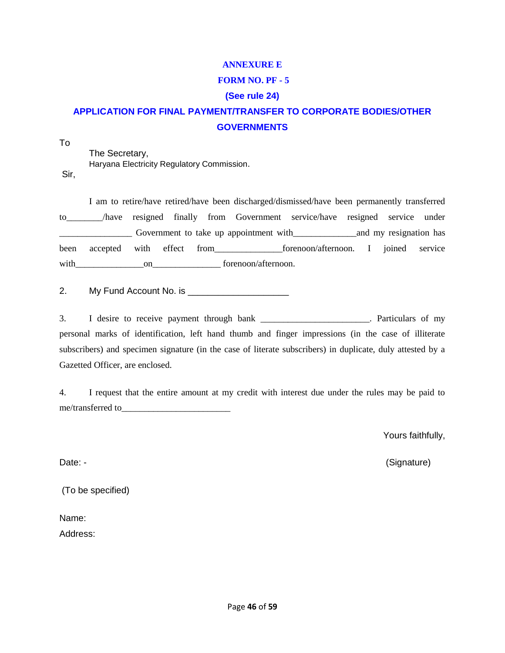### **ANNEXURE E**

### **FORM NO. PF - 5**

### **(See rule 24)**

# **APPLICATION FOR FINAL PAYMENT/TRANSFER TO CORPORATE BODIES/OTHER GOVERNMENTS**

To

The Secretary, Haryana Electricity Regulatory Commission. Sir,

I am to retire/have retired/have been discharged/dismissed/have been permanently transferred to\_\_\_\_\_\_\_\_/have resigned finally from Government service/have resigned service under Government to take up appointment with and my resignation has been accepted with effect from forenoon/afternoon. I joined service with on on forenoon/afternoon.

2. My Fund Account No. is \_\_\_\_\_\_\_\_\_\_\_\_\_\_\_\_\_\_\_\_

3. I desire to receive payment through bank \_\_\_\_\_\_\_\_\_\_\_\_\_\_\_\_\_\_\_\_\_\_\_\_. Particulars of my personal marks of identification, left hand thumb and finger impressions (in the case of illiterate subscribers) and specimen signature (in the case of literate subscribers) in duplicate, duly attested by a Gazetted Officer, are enclosed.

4. I request that the entire amount at my credit with interest due under the rules may be paid to me/transferred to\_\_\_\_\_\_\_\_\_\_\_\_\_\_\_\_\_\_\_\_\_\_\_\_

Yours faithfully,

Date: - (Signature)

(To be specified)

Name:

Address: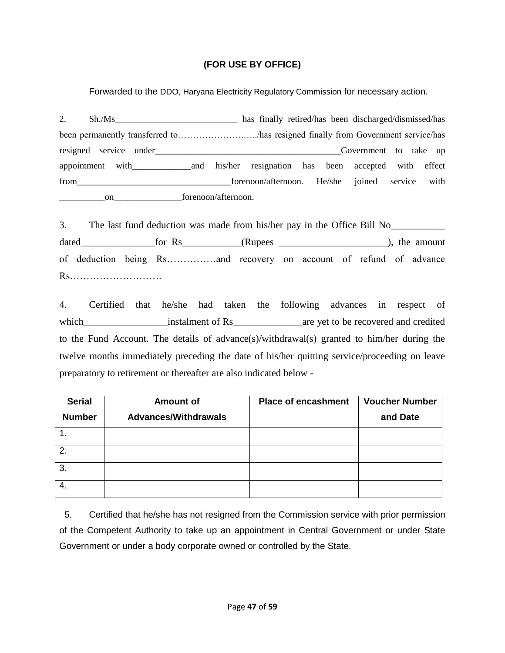### **(FOR USE BY OFFICE)**

Forwarded to the DDO, Haryana Electricity Regulatory Commission for necessary action.

2. Sh./Ms been permanently transferred to………………….…../has resigned finally from Government service/has resigned service under the service under the service of the service under the service up of the service under the service under the service under the service under the service under the service under the service under the appointment with\_\_\_\_\_\_\_\_\_\_\_\_\_and his/her resignation has been accepted with effect from \_\_\_\_\_\_\_\_\_\_\_\_\_\_\_\_\_\_\_\_\_\_\_\_\_\_\_\_\_\_\_forenoon/afternoon. He/she joined service with on\_\_\_\_\_\_\_\_\_\_\_\_\_\_\_\_\_\_\_forenoon/afternoon.

3. The last fund deduction was made from his/her pay in the Office Bill No\_\_\_\_\_\_\_\_\_\_\_\_\_ dated\_\_\_\_\_\_\_\_\_\_\_\_\_\_\_for Rs\_\_\_\_\_\_\_\_\_\_\_\_(Rupees \_\_\_\_\_\_\_\_\_\_\_\_\_\_\_\_\_\_\_\_\_\_\_\_), the amount of deduction being Rs……………and recovery on account of refund of advance Rs……………………….

4. Certified that he/she had taken the following advances in respect of which\_\_\_\_\_\_\_\_\_\_\_\_\_\_\_\_\_instalment of Rs\_\_\_\_\_\_\_\_\_\_\_\_\_\_are yet to be recovered and credited to the Fund Account. The details of advance(s)/withdrawal(s) granted to him/her during the twelve months immediately preceding the date of his/her quitting service/proceeding on leave preparatory to retirement or thereafter are also indicated below -

| <b>Serial</b>  | <b>Amount of</b>            | <b>Place of encashment</b> | <b>Voucher Number</b> |
|----------------|-----------------------------|----------------------------|-----------------------|
| <b>Number</b>  | <b>Advances/Withdrawals</b> |                            | and Date              |
|                |                             |                            |                       |
| 2.             |                             |                            |                       |
| 3.             |                             |                            |                       |
| $\overline{4}$ |                             |                            |                       |

5. Certified that he/she has not resigned from the Commission service with prior permission of the Competent Authority to take up an appointment in Central Government or under State Government or under a body corporate owned or controlled by the State.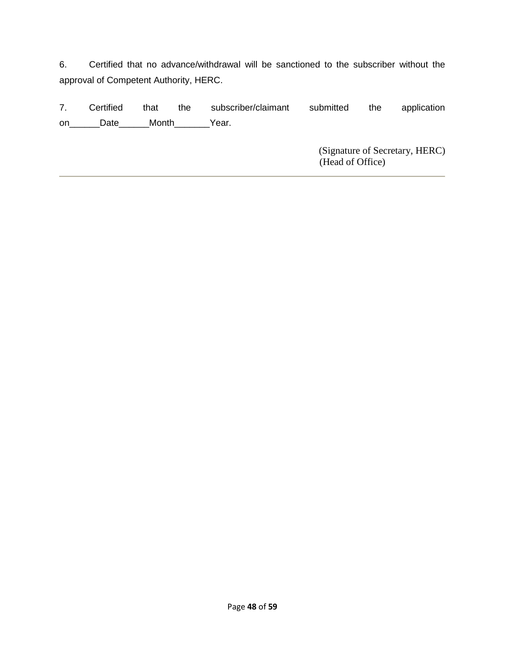6. Certified that no advance/withdrawal will be sanctioned to the subscriber without the approval of Competent Authority, HERC.

7. Certified that the subscriber/claimant submitted the application on\_\_\_\_\_\_\_Date\_\_\_\_\_\_Month\_\_\_\_\_\_\_Year.

> (Signature of Secretary, HERC) (Head of Office)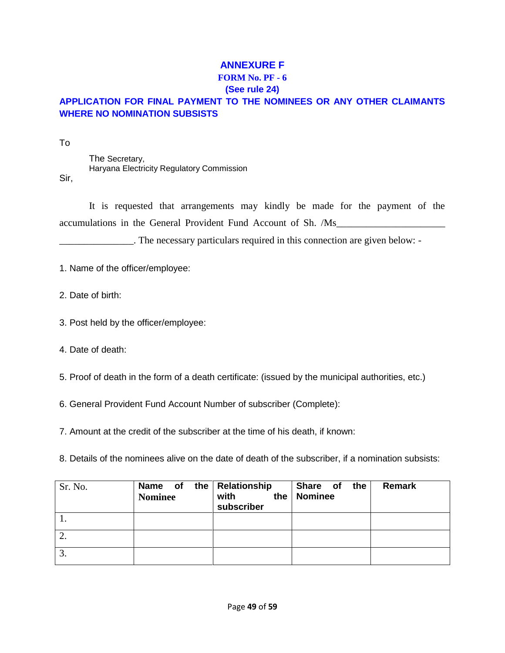# **ANNEXURE F**

### **FORM No. PF - 6**

### **(See rule 24)**

# **APPLICATION FOR FINAL PAYMENT TO THE NOMINEES OR ANY OTHER CLAIMANTS WHERE NO NOMINATION SUBSISTS**

To

Sir,

The Secretary, Haryana Electricity Regulatory Commission

It is requested that arrangements may kindly be made for the payment of the accumulations in the General Provident Fund Account of Sh. /Ms\_\_\_\_\_\_\_\_\_\_\_\_\_\_\_\_\_\_\_\_\_\_

\_\_\_\_\_\_\_\_\_\_\_\_\_\_\_. The necessary particulars required in this connection are given below: -

- 1. Name of the officer/employee:
- 2. Date of birth:
- 3. Post held by the officer/employee:
- 4. Date of death:
- 5. Proof of death in the form of a death certificate: (issued by the municipal authorities, etc.)
- 6. General Provident Fund Account Number of subscriber (Complete):
- 7. Amount at the credit of the subscriber at the time of his death, if known:
- 8. Details of the nominees alive on the date of death of the subscriber, if a nomination subsists:

| Sr. No. | the $\vert$<br>Name of<br><b>Nominee</b> | Relationship<br>with<br>the<br>subscriber | Share of<br>the<br><b>Nominee</b> | Remark |
|---------|------------------------------------------|-------------------------------------------|-----------------------------------|--------|
|         |                                          |                                           |                                   |        |
| ۷.      |                                          |                                           |                                   |        |
| 3.      |                                          |                                           |                                   |        |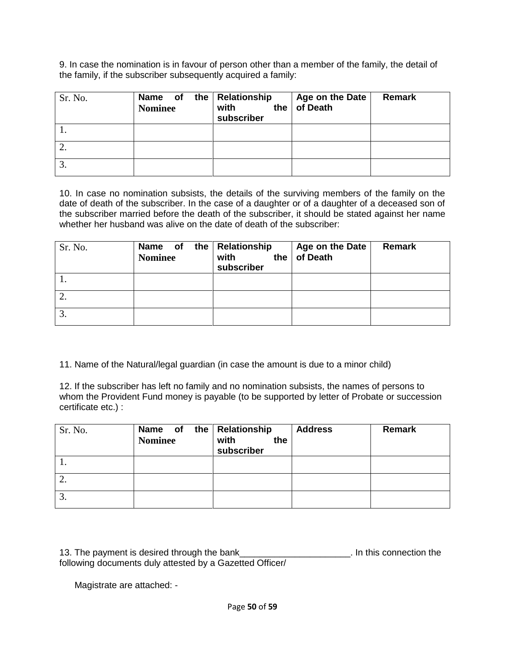9. In case the nomination is in favour of person other than a member of the family, the detail of the family, if the subscriber subsequently acquired a family:

| Sr. No. | Name of the Relationship<br><b>Nominee</b> | with<br>the<br>subscriber | Age on the Date<br>of Death | <b>Remark</b> |
|---------|--------------------------------------------|---------------------------|-----------------------------|---------------|
|         |                                            |                           |                             |               |
| 2.      |                                            |                           |                             |               |
| 3.      |                                            |                           |                             |               |

10. In case no nomination subsists, the details of the surviving members of the family on the date of death of the subscriber. In the case of a daughter or of a daughter of a deceased son of the subscriber married before the death of the subscriber, it should be stated against her name whether her husband was alive on the date of death of the subscriber:

| Sr. No. | the<br>Name of<br><b>Nominee</b> | Relationship<br>with<br>the<br>subscriber | Age on the Date<br>of Death | Remark |
|---------|----------------------------------|-------------------------------------------|-----------------------------|--------|
|         |                                  |                                           |                             |        |
| 2.      |                                  |                                           |                             |        |
| 3.      |                                  |                                           |                             |        |

11. Name of the Natural/legal guardian (in case the amount is due to a minor child)

12. If the subscriber has left no family and no nomination subsists, the names of persons to whom the Provident Fund money is payable (to be supported by letter of Probate or succession certificate etc.) :

| Sr. No. | Name of<br><b>Nominee</b> | the   Relationship<br>with<br>the<br>subscriber | <b>Address</b> | <b>Remark</b> |
|---------|---------------------------|-------------------------------------------------|----------------|---------------|
|         |                           |                                                 |                |               |
| 2.      |                           |                                                 |                |               |
| 3.      |                           |                                                 |                |               |

13. The payment is desired through the bank\_\_\_\_\_\_\_\_\_\_\_\_\_\_\_\_\_\_\_\_\_\_. In this connection the following documents duly attested by a Gazetted Officer/

Magistrate are attached: -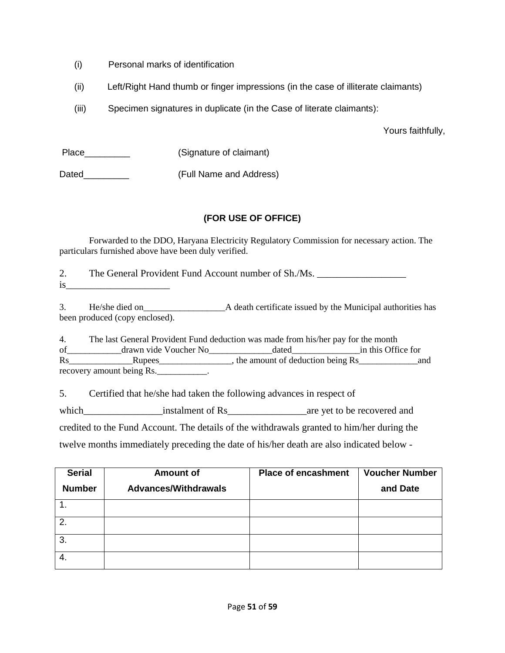- (i) Personal marks of identification
- (ii) Left/Right Hand thumb or finger impressions (in the case of illiterate claimants)
- (iii) Specimen signatures in duplicate (in the Case of literate claimants):

Yours faithfully,

| Place | (Signature of claimant) |
|-------|-------------------------|
| Dated | (Full Name and Address) |

### **(FOR USE OF OFFICE)**

Forwarded to the DDO, Haryana Electricity Regulatory Commission for necessary action. The particulars furnished above have been duly verified.

2. The General Provident Fund Account number of Sh./Ms. is\_\_\_\_\_\_\_\_\_\_\_\_\_\_\_\_\_\_\_\_\_

3. He/she died on\_\_\_\_\_\_\_\_\_\_\_\_\_\_\_\_\_\_A death certificate issued by the Municipal authorities has been produced (copy enclosed).

4. The last General Provident Fund deduction was made from his/her pay for the month of the drawn vide Voucher No<sub>c</sub> dated in this Office for Rs\_\_\_\_\_\_\_\_\_\_\_\_\_\_Rupees\_\_\_\_\_\_\_\_\_\_\_\_\_\_\_\_, the amount of deduction being Rs\_\_\_\_\_\_\_\_\_\_\_\_\_and recovery amount being Rs.

5. Certified that he/she had taken the following advances in respect of

which\_\_\_\_\_\_\_\_\_\_\_\_\_\_\_\_instalment of Rs\_\_\_\_\_\_\_\_\_\_\_\_\_\_\_\_are yet to be recovered and

credited to the Fund Account. The details of the withdrawals granted to him/her during the

twelve months immediately preceding the date of his/her death are also indicated below -

| <b>Serial</b>  | <b>Amount of</b>            | <b>Place of encashment</b> | <b>Voucher Number</b> |
|----------------|-----------------------------|----------------------------|-----------------------|
| <b>Number</b>  | <b>Advances/Withdrawals</b> |                            | and Date              |
|                |                             |                            |                       |
| $\overline{2}$ |                             |                            |                       |
| 3              |                             |                            |                       |
| 4.             |                             |                            |                       |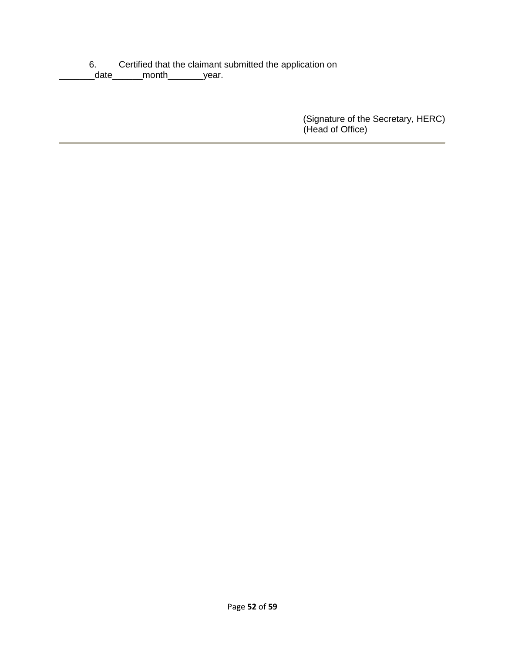6. Certified that the claimant submitted the application on

date\_\_\_\_\_\_\_month\_\_\_\_\_\_\_year.

(Signature of the Secretary, HERC) (Head of Office)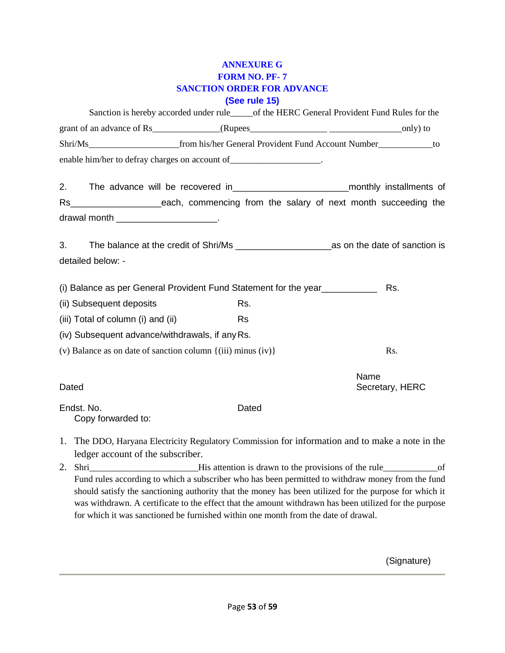### **ANNEXURE G FORM NO. PF- 7 SANCTION ORDER FOR ADVANCE (See rule 15)**

|       | Sanction is hereby accorded under rule_____of the HERC General Provident Fund Rules for the                                                                                                                 |                         |
|-------|-------------------------------------------------------------------------------------------------------------------------------------------------------------------------------------------------------------|-------------------------|
|       |                                                                                                                                                                                                             |                         |
|       |                                                                                                                                                                                                             |                         |
|       | enable him/her to defray charges on account of _____________________.                                                                                                                                       |                         |
| 2.    | The advance will be recovered in _________________________________monthly installments of                                                                                                                   |                         |
|       | Rs_________________________each, commencing from the salary of next month succeeding the                                                                                                                    |                         |
|       | drawal month _________________________.                                                                                                                                                                     |                         |
| 3.    |                                                                                                                                                                                                             |                         |
|       | detailed below: -                                                                                                                                                                                           |                         |
|       | (i) Balance as per General Provident Fund Statement for the year                                                                                                                                            | Rs.                     |
|       | (ii) Subsequent deposits<br>Rs.                                                                                                                                                                             |                         |
|       | (iii) Total of column (i) and (ii)<br><b>Rs</b>                                                                                                                                                             |                         |
|       | (iv) Subsequent advance/withdrawals, if any Rs.                                                                                                                                                             |                         |
|       | (v) Balance as on date of sanction column $\{(iii)$ minus $(iv)\}$                                                                                                                                          | Rs.                     |
| Dated |                                                                                                                                                                                                             | Name<br>Secretary, HERC |
|       | Endst. No.<br>Dated<br>Copy forwarded to:                                                                                                                                                                   |                         |
|       | 1. The DDO, Haryana Electricity Regulatory Commission for information and to make a note in the<br>ledger account of the subscriber.                                                                        |                         |
|       | 2. Shri His attention is drawn to the provisions of the rule of the rule of                                                                                                                                 |                         |
|       | Fund rules according to which a subscriber who has been permitted to withdraw money from the fund<br>should satisfy the sanctioning authority that the money has been utilized for the purpose for which it |                         |

was withdrawn. A certificate to the effect that the amount withdrawn has been utilized for the purpose for which it was sanctioned be furnished within one month from the date of drawal.

(Signature)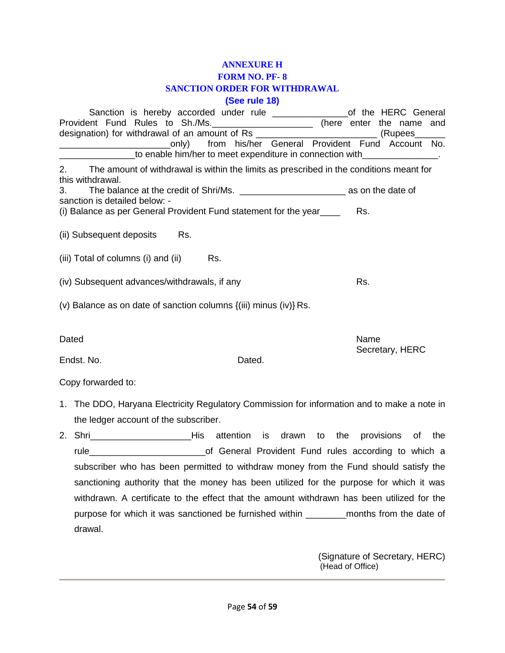# **ANNEXURE H FORM NO. PF- 8 SANCTION ORDER FOR WITHDRAWAL**

# **(See rule 18)**

| Provident Fund Rules to Sh./Ms. ______________________ (here enter the name<br>designation) for withdrawal of an amount of Rs | Sanction is hereby accorded under rule _________________of the HERC General                |                                                                           |        |  |      | (Rupees         | and |
|-------------------------------------------------------------------------------------------------------------------------------|--------------------------------------------------------------------------------------------|---------------------------------------------------------------------------|--------|--|------|-----------------|-----|
|                                                                                                                               | _____________________only) from his/her General Provident Fund Account No.                 | to enable him/her to meet expenditure in connection with _______________. |        |  |      |                 |     |
| 2.<br>this withdrawal.                                                                                                        | The amount of withdrawal is within the limits as prescribed in the conditions meant for    |                                                                           |        |  |      |                 |     |
| 3.                                                                                                                            |                                                                                            |                                                                           |        |  |      |                 |     |
| sanction is detailed below: -<br>(i) Balance as per General Provident Fund statement for the year____                         |                                                                                            |                                                                           |        |  | Rs.  |                 |     |
| (ii) Subsequent deposits                                                                                                      |                                                                                            | Rs.                                                                       |        |  |      |                 |     |
| (iii) Total of columns (i) and (ii)                                                                                           |                                                                                            |                                                                           | Rs.    |  |      |                 |     |
| (iv) Subsequent advances/withdrawals, if any                                                                                  |                                                                                            |                                                                           |        |  | Rs.  |                 |     |
| (v) Balance as on date of sanction columns {(iii) minus (iv)} Rs.                                                             |                                                                                            |                                                                           |        |  |      |                 |     |
| Dated                                                                                                                         |                                                                                            |                                                                           |        |  | Name |                 |     |
| Endst. No.                                                                                                                    |                                                                                            |                                                                           | Dated. |  |      | Secretary, HERC |     |
| Copy forwarded to:                                                                                                            |                                                                                            |                                                                           |        |  |      |                 |     |
| 1. The DDO, Haryana Electricity Regulatory Commission for information and to make a note in                                   |                                                                                            |                                                                           |        |  |      |                 |     |
|                                                                                                                               | the ledger account of the subscriber.                                                      |                                                                           |        |  |      |                 |     |
| 2. Shri ________________________His attention is drawn to the provisions of the                                               |                                                                                            |                                                                           |        |  |      |                 |     |
|                                                                                                                               |                                                                                            |                                                                           |        |  |      |                 |     |
|                                                                                                                               | subscriber who has been permitted to withdraw money from the Fund should satisfy the       |                                                                           |        |  |      |                 |     |
|                                                                                                                               | sanctioning authority that the money has been utilized for the purpose for which it was    |                                                                           |        |  |      |                 |     |
|                                                                                                                               | withdrawn. A certificate to the effect that the amount withdrawn has been utilized for the |                                                                           |        |  |      |                 |     |
|                                                                                                                               |                                                                                            |                                                                           |        |  |      |                 |     |
| drawal.                                                                                                                       |                                                                                            |                                                                           |        |  |      |                 |     |

(Signature of Secretary, HERC) (Head of Office)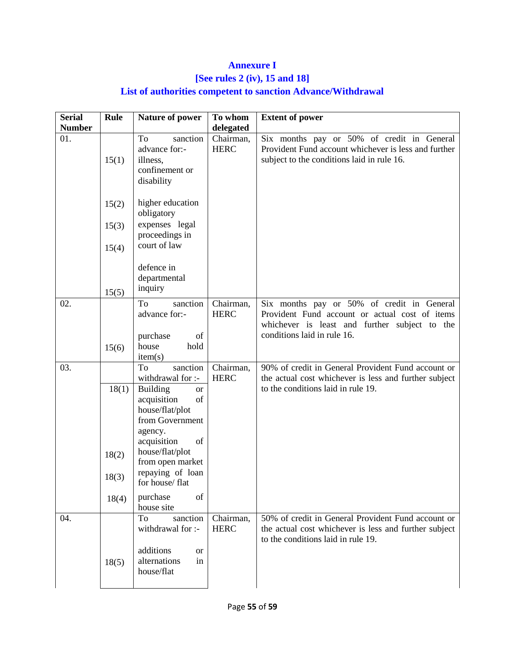# **Annexure I**

# **[See rules 2 (iv), 15 and 18]**

# **List of authorities competent to sanction Advance/Withdrawal**

| <b>Serial</b> | Rule           | Nature of power                                                                                                         | To whom                  | <b>Extent of power</b>                                                                                                                            |
|---------------|----------------|-------------------------------------------------------------------------------------------------------------------------|--------------------------|---------------------------------------------------------------------------------------------------------------------------------------------------|
| <b>Number</b> |                |                                                                                                                         | delegated                |                                                                                                                                                   |
| 01.           | 15(1)          | To<br>sanction<br>advance for:-<br>illness,<br>confinement or<br>disability                                             | Chairman,<br><b>HERC</b> | Six months pay or 50% of credit in General<br>Provident Fund account whichever is less and further<br>subject to the conditions laid in rule 16.  |
|               | 15(2)<br>15(3) | higher education<br>obligatory<br>expenses legal                                                                        |                          |                                                                                                                                                   |
|               | 15(4)          | proceedings in<br>court of law                                                                                          |                          |                                                                                                                                                   |
|               | 15(5)          | defence in<br>departmental<br>inquiry                                                                                   |                          |                                                                                                                                                   |
| 02.           |                | sanction<br>To<br>advance for:-                                                                                         | Chairman,<br><b>HERC</b> | Six months pay or 50% of credit in General<br>Provident Fund account or actual cost of items<br>whichever is least and further subject to the     |
|               | 15(6)          | purchase<br>of<br>hold<br>house<br>item(s)                                                                              |                          | conditions laid in rule 16.                                                                                                                       |
| 03.           |                | To<br>sanction<br>withdrawal for :-                                                                                     | Chairman,<br><b>HERC</b> | 90% of credit in General Provident Fund account or<br>the actual cost whichever is less and further subject                                       |
|               | 18(1)          | <b>Building</b><br><b>or</b><br>acquisition<br>of<br>house/flat/plot<br>from Government<br>agency.<br>acquisition<br>of |                          | to the conditions laid in rule 19.                                                                                                                |
|               | 18(2)          | house/flat/plot<br>from open market<br>repaying of loan                                                                 |                          |                                                                                                                                                   |
|               | 18(3)<br>18(4) | for house/ flat<br>purchase<br>of                                                                                       |                          |                                                                                                                                                   |
|               |                | house site                                                                                                              |                          |                                                                                                                                                   |
| 04.           |                | sanction<br>To<br>withdrawal for :-                                                                                     | Chairman,<br><b>HERC</b> | 50% of credit in General Provident Fund account or<br>the actual cost whichever is less and further subject<br>to the conditions laid in rule 19. |
|               | 18(5)          | additions<br>or<br>alternations<br>in<br>house/flat                                                                     |                          |                                                                                                                                                   |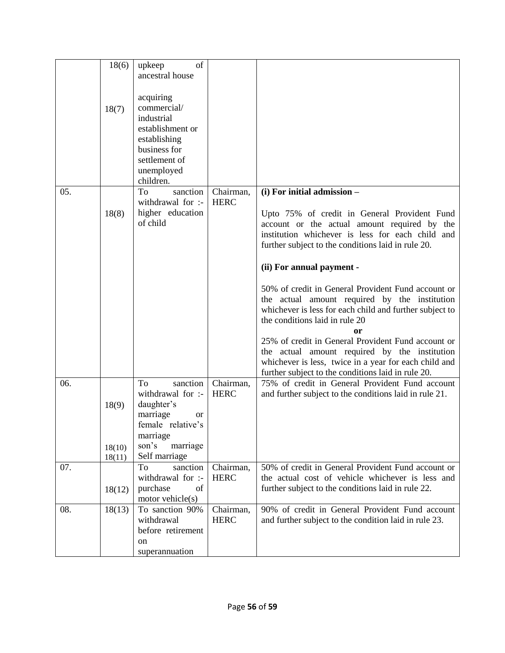|     | 18(6)            | of<br>upkeep                                                                                        |                          |                                                                                                                                                                                                                    |
|-----|------------------|-----------------------------------------------------------------------------------------------------|--------------------------|--------------------------------------------------------------------------------------------------------------------------------------------------------------------------------------------------------------------|
|     |                  | ancestral house                                                                                     |                          |                                                                                                                                                                                                                    |
|     | 18(7)            | acquiring<br>commercial/<br>industrial                                                              |                          |                                                                                                                                                                                                                    |
|     |                  | establishment or<br>establishing                                                                    |                          |                                                                                                                                                                                                                    |
|     |                  | business for<br>settlement of                                                                       |                          |                                                                                                                                                                                                                    |
|     |                  | unemployed<br>children.                                                                             |                          |                                                                                                                                                                                                                    |
| 05. |                  | sanction<br>To<br>withdrawal for :-                                                                 | Chairman,<br><b>HERC</b> | (i) For initial admission -                                                                                                                                                                                        |
|     | 18(8)            | higher education<br>of child                                                                        |                          | Upto 75% of credit in General Provident Fund<br>account or the actual amount required by the<br>institution whichever is less for each child and<br>further subject to the conditions laid in rule 20.             |
|     |                  |                                                                                                     |                          | (ii) For annual payment -                                                                                                                                                                                          |
|     |                  |                                                                                                     |                          | 50% of credit in General Provident Fund account or<br>the actual amount required by the institution<br>whichever is less for each child and further subject to<br>the conditions laid in rule 20<br>0r             |
|     |                  |                                                                                                     |                          | 25% of credit in General Provident Fund account or<br>the actual amount required by the institution<br>whichever is less, twice in a year for each child and<br>further subject to the conditions laid in rule 20. |
| 06. | 18(9)            | sanction<br>To<br>withdrawal for :-<br>daughter's<br>marriage<br><sub>or</sub><br>female relative's | Chairman,<br><b>HERC</b> | 75% of credit in General Provident Fund account<br>and further subject to the conditions laid in rule 21.                                                                                                          |
|     | 18(10)<br>18(11) | marriage<br>son's<br>marriage<br>Self marriage                                                      |                          |                                                                                                                                                                                                                    |
| 07. | 18(12)           | sanction<br>To<br>withdrawal for :-<br>purchase<br>of<br>motor vehicle(s)                           | Chairman,<br><b>HERC</b> | 50% of credit in General Provident Fund account or<br>the actual cost of vehicle whichever is less and<br>further subject to the conditions laid in rule 22.                                                       |
| 08. | 18(13)           | To sanction 90%<br>withdrawal<br>before retirement<br>on<br>superannuation                          | Chairman,<br><b>HERC</b> | 90% of credit in General Provident Fund account<br>and further subject to the condition laid in rule 23.                                                                                                           |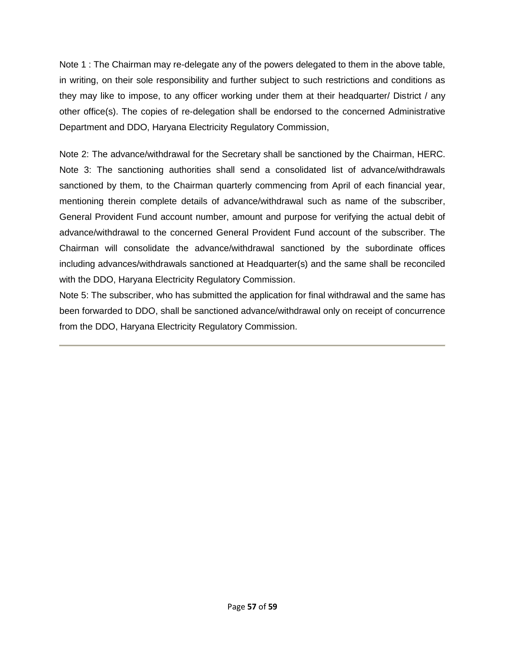Note 1 : The Chairman may re-delegate any of the powers delegated to them in the above table, in writing, on their sole responsibility and further subject to such restrictions and conditions as they may like to impose, to any officer working under them at their headquarter/ District / any other office(s). The copies of re-delegation shall be endorsed to the concerned Administrative Department and DDO, Haryana Electricity Regulatory Commission,

Note 2: The advance/withdrawal for the Secretary shall be sanctioned by the Chairman, HERC. Note 3: The sanctioning authorities shall send a consolidated list of advance/withdrawals sanctioned by them, to the Chairman quarterly commencing from April of each financial year, mentioning therein complete details of advance/withdrawal such as name of the subscriber, General Provident Fund account number, amount and purpose for verifying the actual debit of advance/withdrawal to the concerned General Provident Fund account of the subscriber. The Chairman will consolidate the advance/withdrawal sanctioned by the subordinate offices including advances/withdrawals sanctioned at Headquarter(s) and the same shall be reconciled with the DDO, Haryana Electricity Regulatory Commission.

Note 5: The subscriber, who has submitted the application for final withdrawal and the same has been forwarded to DDO, shall be sanctioned advance/withdrawal only on receipt of concurrence from the DDO, Haryana Electricity Regulatory Commission.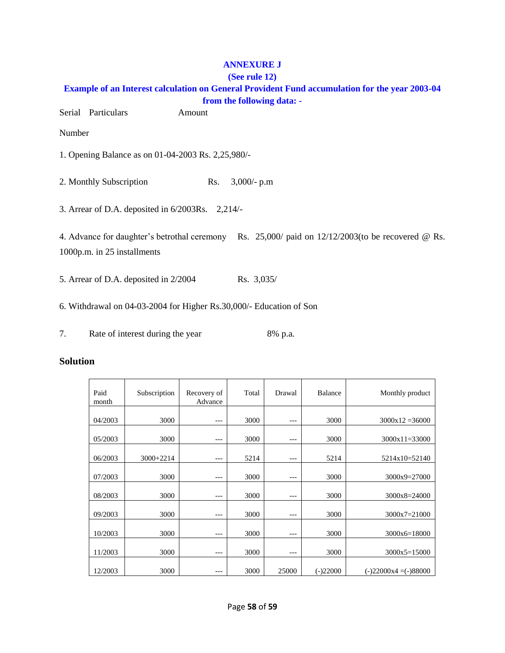### **ANNEXURE J**

### **(See rule 12) Example of an Interest calculation on General Provident Fund accumulation for the year 2003-04 from the following data: -**

Serial Particulars Amount

Number

1. Opening Balance as on 01-04-2003 Rs. 2,25,980/-

2. Monthly Subscription Rs. 3,000/- p.m

3. Arrear of D.A. deposited in 6/2003Rs. 2,214/-

4. Advance for daughter's betrothal ceremony Rs. 25,000/ paid on 12/12/2003(to be recovered @ Rs. 1000p.m. in 25 installments

5. Arrear of D.A. deposited in 2/2004 Rs. 3,035/

6. Withdrawal on 04-03-2004 for Higher Rs.30,000/- Education of Son

7. Rate of interest during the year 8% p.a.

### **Solution**

| Paid<br>month | Subscription | Recovery of<br>Advance | Total | Drawal | Balance    | Monthly product         |
|---------------|--------------|------------------------|-------|--------|------------|-------------------------|
| 04/2003       | 3000         | ---                    | 3000  | ---    | 3000       | $3000x12 = 36000$       |
| 05/2003       | 3000         | $---$                  | 3000  | $---$  | 3000       | $3000x11=33000$         |
| 06/2003       | $3000+2214$  | ---                    | 5214  | ---    | 5214       | 5214x10=52140           |
| 07/2003       | 3000         | $---$                  | 3000  | ---    | 3000       | 3000x9=27000            |
| 08/2003       | 3000         | $---$                  | 3000  | ---    | 3000       | $3000x8 = 24000$        |
| 09/2003       | 3000         | ---                    | 3000  | ---    | 3000       | 3000x7=21000            |
| 10/2003       | 3000         | $---$                  | 3000  | ---    | 3000       | $3000x6=18000$          |
| 11/2003       | 3000         | ---                    | 3000  | ---    | 3000       | $3000x5=15000$          |
| 12/2003       | 3000         |                        | 3000  | 25000  | $(-)22000$ | $(-)22000x4 = (-)88000$ |